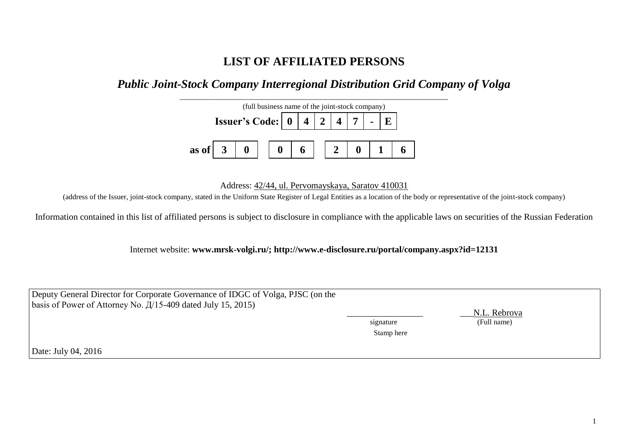## **LIST OF AFFILIATED PERSONS**

*Public Joint-Stock Company Interregional Distribution Grid Company of Volga*



Address: 42/44, ul. Pervomayskaya, Saratov 410031

(address of the Issuer, joint-stock company, stated in the Uniform State Register of Legal Entities as a location of the body or representative of the joint-stock company)

Information contained in this list of affiliated persons is subject to disclosure in compliance with the applicable laws on securities of the Russian Federation

Internet website: **www.mrsk-volgi.ru/; http://www.e-disclosure.ru/portal/company.aspx?id=12131**

| Deputy General Director for Corporate Governance of IDGC of Volga, PJSC (on the<br>basis of Power of Attorney No. $\frac{\pi}{15-409}$ dated July 15, 2015) |            | N.L. Rebrova |
|-------------------------------------------------------------------------------------------------------------------------------------------------------------|------------|--------------|
|                                                                                                                                                             | signature  | (Full name)  |
|                                                                                                                                                             | Stamp here |              |
| Date: July 04, 2016                                                                                                                                         |            |              |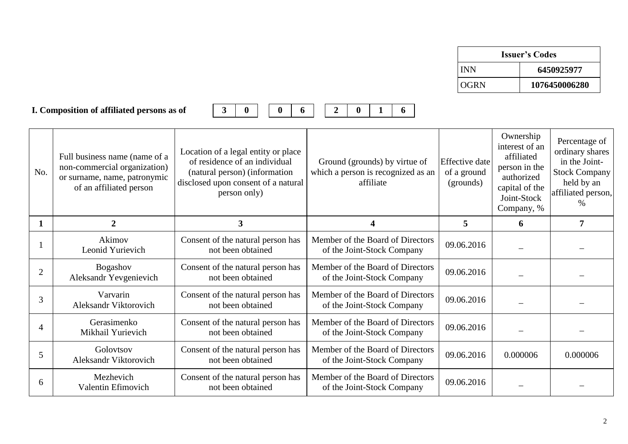| <b>Issuer's Codes</b> |               |  |  |
|-----------------------|---------------|--|--|
| <b>INN</b>            | 6450925977    |  |  |
| OGRN                  | 1076450006280 |  |  |

## **I. Composition of affiliated persons as of 3 0 0 6 2 0 1 6**

|--|



| No.            | Full business name (name of a<br>non-commercial organization)<br>or surname, name, patronymic<br>of an affiliated person | Location of a legal entity or place<br>of residence of an individual<br>(natural person) (information<br>disclosed upon consent of a natural<br>person only) | Ground (grounds) by virtue of<br>which a person is recognized as an<br>affiliate | <b>Effective</b> date<br>of a ground<br>(grounds) | Ownership<br>interest of an<br>affiliated<br>person in the<br>authorized<br>capital of the<br>Joint-Stock<br>Company, % | Percentage of<br>ordinary shares<br>in the Joint-<br>Stock Company<br>held by an<br>affiliated person,<br>$\%$ |
|----------------|--------------------------------------------------------------------------------------------------------------------------|--------------------------------------------------------------------------------------------------------------------------------------------------------------|----------------------------------------------------------------------------------|---------------------------------------------------|-------------------------------------------------------------------------------------------------------------------------|----------------------------------------------------------------------------------------------------------------|
|                | 2                                                                                                                        | 3                                                                                                                                                            | 4                                                                                | 5                                                 | 6                                                                                                                       | $\overline{7}$                                                                                                 |
|                | Akimov<br>Leonid Yurievich                                                                                               | Consent of the natural person has<br>not been obtained                                                                                                       | Member of the Board of Directors<br>of the Joint-Stock Company                   | 09.06.2016                                        |                                                                                                                         |                                                                                                                |
| $\overline{2}$ | <b>Bogashov</b><br>Aleksandr Yevgenievich                                                                                | Consent of the natural person has<br>not been obtained                                                                                                       | Member of the Board of Directors<br>of the Joint-Stock Company                   | 09.06.2016                                        |                                                                                                                         |                                                                                                                |
| 3              | Varvarin<br>Aleksandr Viktorovich                                                                                        | Consent of the natural person has<br>not been obtained                                                                                                       | Member of the Board of Directors<br>of the Joint-Stock Company                   | 09.06.2016                                        |                                                                                                                         |                                                                                                                |
| 4              | Gerasimenko<br>Mikhail Yurievich                                                                                         | Consent of the natural person has<br>not been obtained                                                                                                       | Member of the Board of Directors<br>of the Joint-Stock Company                   | 09.06.2016                                        |                                                                                                                         |                                                                                                                |
| 5              | Golovtsov<br>Aleksandr Viktorovich                                                                                       | Consent of the natural person has<br>not been obtained                                                                                                       | Member of the Board of Directors<br>of the Joint-Stock Company                   | 09.06.2016                                        | 0.000006                                                                                                                | 0.000006                                                                                                       |
| 6              | Mezhevich<br>Valentin Efimovich                                                                                          | Consent of the natural person has<br>not been obtained                                                                                                       | Member of the Board of Directors<br>of the Joint-Stock Company                   | 09.06.2016                                        |                                                                                                                         |                                                                                                                |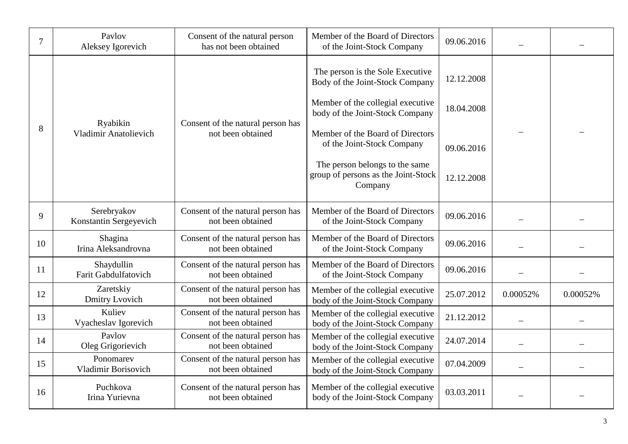| 7  | Pavlov<br>Aleksey Igorevich                                                                        | Consent of the natural person<br>has not been obtained         | Member of the Board of Directors<br>of the Joint-Stock Company                                           | 09.06.2016 |                          |          |
|----|----------------------------------------------------------------------------------------------------|----------------------------------------------------------------|----------------------------------------------------------------------------------------------------------|------------|--------------------------|----------|
|    |                                                                                                    |                                                                | The person is the Sole Executive<br>Body of the Joint-Stock Company<br>Member of the collegial executive | 12.12.2008 |                          |          |
|    | Ryabikin<br>Consent of the natural person has<br><b>Vladimir Anatolievich</b><br>not been obtained |                                                                | body of the Joint-Stock Company                                                                          | 18.04.2008 |                          |          |
| 8  |                                                                                                    | Member of the Board of Directors<br>of the Joint-Stock Company | 09.06.2016                                                                                               |            |                          |          |
|    |                                                                                                    |                                                                | The person belongs to the same<br>group of persons as the Joint-Stock<br>Company                         | 12.12.2008 |                          |          |
| 9  | Serebryakov<br>Konstantin Sergeyevich                                                              | Consent of the natural person has<br>not been obtained         | Member of the Board of Directors<br>of the Joint-Stock Company                                           | 09.06.2016 |                          |          |
| 10 | Shagina<br>Irina Aleksandrovna                                                                     | Consent of the natural person has<br>not been obtained         | Member of the Board of Directors<br>of the Joint-Stock Company                                           | 09.06.2016 |                          |          |
| 11 | Shaydullin<br>Farit Gabdulfatovich                                                                 | Consent of the natural person has<br>not been obtained         | Member of the Board of Directors<br>of the Joint-Stock Company                                           | 09.06.2016 |                          |          |
| 12 | Zaretskiy<br>Dmitry Lvovich                                                                        | Consent of the natural person has<br>not been obtained         | Member of the collegial executive<br>body of the Joint-Stock Company                                     | 25.07.2012 | 0.00052%                 | 0.00052% |
| 13 | Kuliev<br>Vyacheslav Igorevich                                                                     | Consent of the natural person has<br>not been obtained         | Member of the collegial executive<br>body of the Joint-Stock Company                                     | 21.12.2012 |                          |          |
| 14 | Pavlov<br>Oleg Grigorievich                                                                        | Consent of the natural person has<br>not been obtained         | Member of the collegial executive<br>body of the Joint-Stock Company                                     | 24.07.2014 | $\overline{\phantom{0}}$ |          |
| 15 | Ponomarev<br>Vladimir Borisovich                                                                   | Consent of the natural person has<br>not been obtained         | Member of the collegial executive<br>body of the Joint-Stock Company                                     | 07.04.2009 |                          |          |
| 16 | Puchkova<br>Irina Yurievna                                                                         | Consent of the natural person has<br>not been obtained         | Member of the collegial executive<br>body of the Joint-Stock Company                                     | 03.03.2011 |                          |          |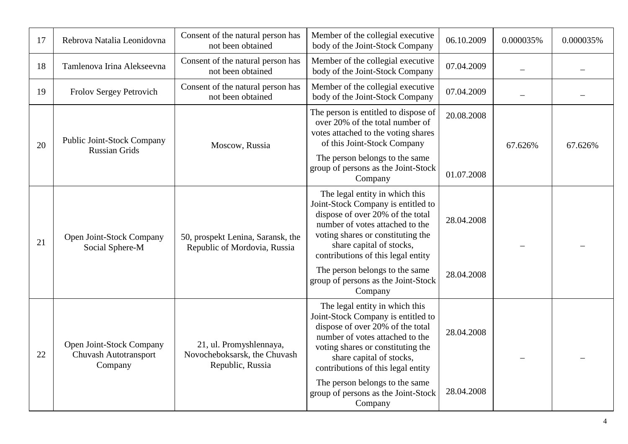| 17 | Rebrova Natalia Leonidovna                                          | Consent of the natural person has<br>not been obtained                      | Member of the collegial executive<br>body of the Joint-Stock Company                                                                                                                                                                               | 06.10.2009               | 0.000035% | 0.000035% |
|----|---------------------------------------------------------------------|-----------------------------------------------------------------------------|----------------------------------------------------------------------------------------------------------------------------------------------------------------------------------------------------------------------------------------------------|--------------------------|-----------|-----------|
| 18 | Tamlenova Irina Alekseevna                                          | Consent of the natural person has<br>not been obtained                      | Member of the collegial executive<br>body of the Joint-Stock Company                                                                                                                                                                               | 07.04.2009               |           |           |
| 19 | Frolov Sergey Petrovich                                             | Consent of the natural person has<br>not been obtained                      | Member of the collegial executive<br>body of the Joint-Stock Company                                                                                                                                                                               | 07.04.2009               |           |           |
| 20 | Public Joint-Stock Company<br><b>Russian Grids</b>                  | Moscow, Russia                                                              | The person is entitled to dispose of<br>over 20% of the total number of<br>votes attached to the voting shares<br>of this Joint-Stock Company<br>The person belongs to the same<br>group of persons as the Joint-Stock<br>Company                  | 20.08.2008<br>01.07.2008 | 67.626%   | 67.626%   |
| 21 | Open Joint-Stock Company<br>Social Sphere-M                         | 50, prospekt Lenina, Saransk, the<br>Republic of Mordovia, Russia           | The legal entity in which this<br>Joint-Stock Company is entitled to<br>dispose of over 20% of the total<br>number of votes attached to the<br>voting shares or constituting the<br>share capital of stocks,<br>contributions of this legal entity | 28.04.2008               |           |           |
|    |                                                                     |                                                                             | The person belongs to the same<br>group of persons as the Joint-Stock<br>Company                                                                                                                                                                   | 28.04.2008               |           |           |
| 22 | Open Joint-Stock Company<br><b>Chuvash Autotransport</b><br>Company | 21, ul. Promyshlennaya,<br>Novocheboksarsk, the Chuvash<br>Republic, Russia | The legal entity in which this<br>Joint-Stock Company is entitled to<br>dispose of over 20% of the total<br>number of votes attached to the<br>voting shares or constituting the<br>share capital of stocks,<br>contributions of this legal entity | 28.04.2008               |           |           |
|    |                                                                     |                                                                             | The person belongs to the same<br>group of persons as the Joint-Stock<br>Company                                                                                                                                                                   | 28.04.2008               |           |           |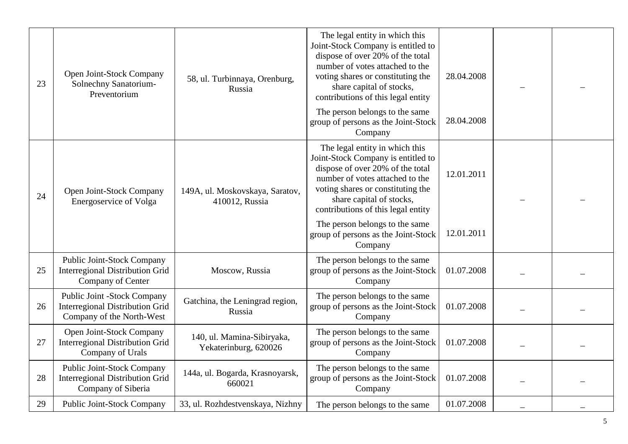| 23 | Open Joint-Stock Company<br>Solnechny Sanatorium-<br>Preventorium                                  | 58, ul. Turbinnaya, Orenburg,<br>Russia             | The legal entity in which this<br>Joint-Stock Company is entitled to<br>dispose of over 20% of the total<br>number of votes attached to the<br>voting shares or constituting the<br>share capital of stocks,                                       | 28.04.2008 |  |
|----|----------------------------------------------------------------------------------------------------|-----------------------------------------------------|----------------------------------------------------------------------------------------------------------------------------------------------------------------------------------------------------------------------------------------------------|------------|--|
|    |                                                                                                    |                                                     | contributions of this legal entity<br>The person belongs to the same<br>group of persons as the Joint-Stock<br>Company                                                                                                                             | 28.04.2008 |  |
| 24 | Open Joint-Stock Company<br>Energoservice of Volga                                                 | 149A, ul. Moskovskaya, Saratov,<br>410012, Russia   | The legal entity in which this<br>Joint-Stock Company is entitled to<br>dispose of over 20% of the total<br>number of votes attached to the<br>voting shares or constituting the<br>share capital of stocks,<br>contributions of this legal entity | 12.01.2011 |  |
|    |                                                                                                    |                                                     | The person belongs to the same<br>group of persons as the Joint-Stock<br>Company                                                                                                                                                                   | 12.01.2011 |  |
| 25 | <b>Public Joint-Stock Company</b><br><b>Interregional Distribution Grid</b><br>Company of Center   | Moscow, Russia                                      | The person belongs to the same<br>group of persons as the Joint-Stock<br>Company                                                                                                                                                                   | 01.07.2008 |  |
| 26 | Public Joint -Stock Company<br><b>Interregional Distribution Grid</b><br>Company of the North-West | Gatchina, the Leningrad region,<br>Russia           | The person belongs to the same<br>group of persons as the Joint-Stock<br>Company                                                                                                                                                                   | 01.07.2008 |  |
| 27 | Open Joint-Stock Company<br><b>Interregional Distribution Grid</b><br>Company of Urals             | 140, ul. Mamina-Sibiryaka,<br>Yekaterinburg, 620026 | The person belongs to the same<br>group of persons as the Joint-Stock<br>Company                                                                                                                                                                   | 01.07.2008 |  |
| 28 | <b>Public Joint-Stock Company</b><br><b>Interregional Distribution Grid</b><br>Company of Siberia  | 144a, ul. Bogarda, Krasnoyarsk,<br>660021           | The person belongs to the same<br>group of persons as the Joint-Stock<br>Company                                                                                                                                                                   | 01.07.2008 |  |
| 29 | Public Joint-Stock Company                                                                         | 33, ul. Rozhdestvenskaya, Nizhny                    | The person belongs to the same                                                                                                                                                                                                                     | 01.07.2008 |  |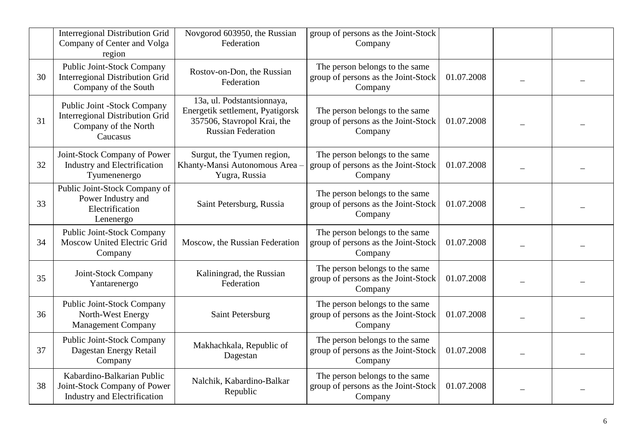|    | <b>Interregional Distribution Grid</b><br>Company of Center and Volga<br>region                           | Novgorod 603950, the Russian<br>Federation                                                                                 | group of persons as the Joint-Stock<br>Company                                   |            |  |
|----|-----------------------------------------------------------------------------------------------------------|----------------------------------------------------------------------------------------------------------------------------|----------------------------------------------------------------------------------|------------|--|
| 30 | <b>Public Joint-Stock Company</b><br><b>Interregional Distribution Grid</b><br>Company of the South       | Rostov-on-Don, the Russian<br>Federation                                                                                   | The person belongs to the same<br>group of persons as the Joint-Stock<br>Company | 01.07.2008 |  |
| 31 | Public Joint -Stock Company<br><b>Interregional Distribution Grid</b><br>Company of the North<br>Caucasus | 13a, ul. Podstantsionnaya,<br>Energetik settlement, Pyatigorsk<br>357506, Stavropol Krai, the<br><b>Russian Federation</b> | The person belongs to the same<br>group of persons as the Joint-Stock<br>Company | 01.07.2008 |  |
| 32 | Joint-Stock Company of Power<br>Industry and Electrification<br>Tyumenenergo                              | Surgut, the Tyumen region,<br>Khanty-Mansi Autonomous Area -<br>Yugra, Russia                                              | The person belongs to the same<br>group of persons as the Joint-Stock<br>Company | 01.07.2008 |  |
| 33 | Public Joint-Stock Company of<br>Power Industry and<br>Electrification<br>Lenenergo                       | Saint Petersburg, Russia                                                                                                   | The person belongs to the same<br>group of persons as the Joint-Stock<br>Company | 01.07.2008 |  |
| 34 | <b>Public Joint-Stock Company</b><br>Moscow United Electric Grid<br>Company                               | Moscow, the Russian Federation                                                                                             | The person belongs to the same<br>group of persons as the Joint-Stock<br>Company | 01.07.2008 |  |
| 35 | Joint-Stock Company<br>Yantarenergo                                                                       | Kaliningrad, the Russian<br>Federation                                                                                     | The person belongs to the same<br>group of persons as the Joint-Stock<br>Company | 01.07.2008 |  |
| 36 | Public Joint-Stock Company<br>North-West Energy<br><b>Management Company</b>                              | Saint Petersburg                                                                                                           | The person belongs to the same<br>group of persons as the Joint-Stock<br>Company | 01.07.2008 |  |
| 37 | <b>Public Joint-Stock Company</b><br>Dagestan Energy Retail<br>Company                                    | Makhachkala, Republic of<br>Dagestan                                                                                       | The person belongs to the same<br>group of persons as the Joint-Stock<br>Company | 01.07.2008 |  |
| 38 | Kabardino-Balkarian Public<br>Joint-Stock Company of Power<br>Industry and Electrification                | Nalchik, Kabardino-Balkar<br>Republic                                                                                      | The person belongs to the same<br>group of persons as the Joint-Stock<br>Company | 01.07.2008 |  |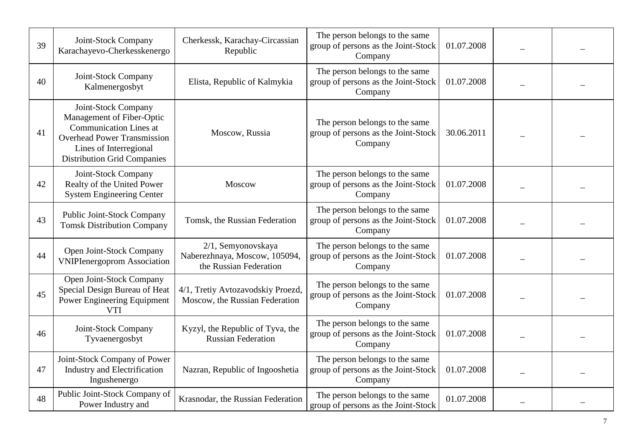| 39 | Joint-Stock Company<br>Karachayevo-Cherkesskenergo                                                                                                                                      | Cherkessk, Karachay-Circassian<br>Republic                                    | The person belongs to the same<br>group of persons as the Joint-Stock<br>Company | 01.07.2008 |  |
|----|-----------------------------------------------------------------------------------------------------------------------------------------------------------------------------------------|-------------------------------------------------------------------------------|----------------------------------------------------------------------------------|------------|--|
| 40 | Joint-Stock Company<br>Kalmenergosbyt                                                                                                                                                   | Elista, Republic of Kalmykia                                                  | The person belongs to the same<br>group of persons as the Joint-Stock<br>Company | 01.07.2008 |  |
| 41 | Joint-Stock Company<br>Management of Fiber-Optic<br><b>Communication Lines at</b><br><b>Overhead Power Transmission</b><br>Lines of Interregional<br><b>Distribution Grid Companies</b> | Moscow, Russia                                                                | The person belongs to the same<br>group of persons as the Joint-Stock<br>Company | 30.06.2011 |  |
| 42 | Joint-Stock Company<br>Realty of the United Power<br><b>System Engineering Center</b>                                                                                                   | Moscow                                                                        | The person belongs to the same<br>group of persons as the Joint-Stock<br>Company | 01.07.2008 |  |
| 43 | Public Joint-Stock Company<br><b>Tomsk Distribution Company</b>                                                                                                                         | Tomsk, the Russian Federation                                                 | The person belongs to the same<br>group of persons as the Joint-Stock<br>Company | 01.07.2008 |  |
| 44 | Open Joint-Stock Company<br><b>VNIPIenergoprom Association</b>                                                                                                                          | 2/1, Semyonovskaya<br>Naberezhnaya, Moscow, 105094,<br>the Russian Federation | The person belongs to the same<br>group of persons as the Joint-Stock<br>Company | 01.07.2008 |  |
| 45 | Open Joint-Stock Company<br>Special Design Bureau of Heat<br>Power Engineering Equipment<br><b>VTI</b>                                                                                  | 4/1, Tretiy Avtozavodskiy Proezd,<br>Moscow, the Russian Federation           | The person belongs to the same<br>group of persons as the Joint-Stock<br>Company | 01.07.2008 |  |
| 46 | Joint-Stock Company<br>Tyvaenergosbyt                                                                                                                                                   | Kyzyl, the Republic of Tyva, the<br><b>Russian Federation</b>                 | The person belongs to the same<br>group of persons as the Joint-Stock<br>Company | 01.07.2008 |  |
| 47 | Joint-Stock Company of Power<br><b>Industry and Electrification</b><br>Ingushenergo                                                                                                     | Nazran, Republic of Ingooshetia                                               | The person belongs to the same<br>group of persons as the Joint-Stock<br>Company | 01.07.2008 |  |
| 48 | Public Joint-Stock Company of<br>Power Industry and                                                                                                                                     | Krasnodar, the Russian Federation                                             | The person belongs to the same<br>group of persons as the Joint-Stock            | 01.07.2008 |  |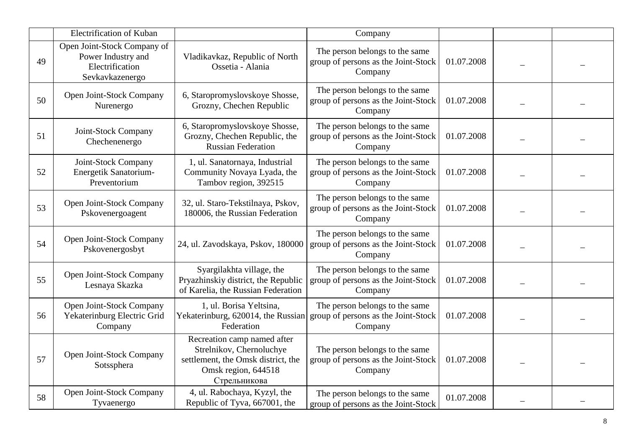|    | Electrification of Kuban                                                                |                                                                                                                                      | Company                                                                                                                |            |  |
|----|-----------------------------------------------------------------------------------------|--------------------------------------------------------------------------------------------------------------------------------------|------------------------------------------------------------------------------------------------------------------------|------------|--|
| 49 | Open Joint-Stock Company of<br>Power Industry and<br>Electrification<br>Sevkavkazenergo | Vladikavkaz, Republic of North<br>Ossetia - Alania                                                                                   | The person belongs to the same<br>group of persons as the Joint-Stock<br>Company                                       | 01.07.2008 |  |
| 50 | Open Joint-Stock Company<br>Nurenergo                                                   | 6, Staropromyslovskoye Shosse,<br>Grozny, Chechen Republic                                                                           | The person belongs to the same<br>group of persons as the Joint-Stock<br>Company                                       | 01.07.2008 |  |
| 51 | Joint-Stock Company<br>Chechenenergo                                                    | 6, Staropromyslovskoye Shosse,<br>Grozny, Chechen Republic, the<br><b>Russian Federation</b>                                         | The person belongs to the same<br>group of persons as the Joint-Stock<br>Company                                       | 01.07.2008 |  |
| 52 | Joint-Stock Company<br>Energetik Sanatorium-<br>Preventorium                            | 1, ul. Sanatornaya, Industrial<br>Community Novaya Lyada, the<br>Tambov region, 392515                                               | The person belongs to the same<br>group of persons as the Joint-Stock<br>Company                                       | 01.07.2008 |  |
| 53 | Open Joint-Stock Company<br>Pskovenergoagent                                            | 32, ul. Staro-Tekstilnaya, Pskov,<br>180006, the Russian Federation                                                                  | The person belongs to the same<br>group of persons as the Joint-Stock<br>Company                                       | 01.07.2008 |  |
| 54 | Open Joint-Stock Company<br>Pskovenergosbyt                                             | 24, ul. Zavodskaya, Pskov, 180000                                                                                                    | The person belongs to the same<br>group of persons as the Joint-Stock<br>Company                                       | 01.07.2008 |  |
| 55 | Open Joint-Stock Company<br>Lesnaya Skazka                                              | Syargilakhta village, the<br>Pryazhinskiy district, the Republic<br>of Karelia, the Russian Federation                               | The person belongs to the same<br>group of persons as the Joint-Stock<br>Company                                       | 01.07.2008 |  |
| 56 | Open Joint-Stock Company<br>Yekaterinburg Electric Grid<br>Company                      | 1, ul. Borisa Yeltsina,<br>Federation                                                                                                | The person belongs to the same<br>Yekaterinburg, $620014$ , the Russian group of persons as the Joint-Stock<br>Company | 01.07.2008 |  |
| 57 | Open Joint-Stock Company<br>Sotssphera                                                  | Recreation camp named after<br>Strelnikov, Chernoluchye<br>settlement, the Omsk district, the<br>Omsk region, 644518<br>Стрельникова | The person belongs to the same<br>group of persons as the Joint-Stock<br>Company                                       | 01.07.2008 |  |
| 58 | Open Joint-Stock Company<br>Tyvaenergo                                                  | 4, ul. Rabochaya, Kyzyl, the<br>Republic of Tyva, 667001, the                                                                        | The person belongs to the same<br>group of persons as the Joint-Stock                                                  | 01.07.2008 |  |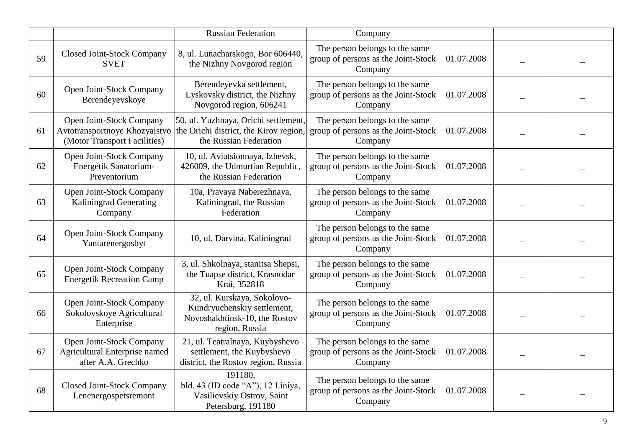|    |                                                                                           | <b>Russian Federation</b>                                                                                     | Company                                                                          |            |  |
|----|-------------------------------------------------------------------------------------------|---------------------------------------------------------------------------------------------------------------|----------------------------------------------------------------------------------|------------|--|
| 59 | <b>Closed Joint-Stock Company</b><br><b>SVET</b>                                          | 8, ul. Lunacharskogo, Bor 606440,<br>the Nizhny Novgorod region                                               | The person belongs to the same<br>group of persons as the Joint-Stock<br>Company | 01.07.2008 |  |
| 60 | Open Joint-Stock Company<br>Berendeyevskoye                                               | Berendeyevka settlement,<br>Lyskovsky district, the Nizhny<br>Novgorod region, 606241                         | The person belongs to the same<br>group of persons as the Joint-Stock<br>Company | 01.07.2008 |  |
| 61 | Open Joint-Stock Company<br>Avtotransportnoye Khozyaistvo<br>(Motor Transport Facilities) | 50, ul. Yuzhnaya, Orichi settlement,<br>the Orichi district, the Kirov region,<br>the Russian Federation      | The person belongs to the same<br>group of persons as the Joint-Stock<br>Company | 01.07.2008 |  |
| 62 | Open Joint-Stock Company<br>Energetik Sanatorium-<br>Preventorium                         | 10, ul. Aviatsionnaya, Izhevsk,<br>426009, the Udmurtian Republic,<br>the Russian Federation                  | The person belongs to the same<br>group of persons as the Joint-Stock<br>Company | 01.07.2008 |  |
| 63 | Open Joint-Stock Company<br><b>Kaliningrad Generating</b><br>Company                      | 10a, Pravaya Naberezhnaya,<br>Kaliningrad, the Russian<br>Federation                                          | The person belongs to the same<br>group of persons as the Joint-Stock<br>Company | 01.07.2008 |  |
| 64 | Open Joint-Stock Company<br>Yantarenergosbyt                                              | 10, ul. Darvina, Kaliningrad                                                                                  | The person belongs to the same<br>group of persons as the Joint-Stock<br>Company | 01.07.2008 |  |
| 65 | Open Joint-Stock Company<br><b>Energetik Recreation Camp</b>                              | 3, ul. Shkolnaya, stanitsa Shepsi,<br>the Tuapse district, Krasnodar<br>Krai, 352818                          | The person belongs to the same<br>group of persons as the Joint-Stock<br>Company | 01.07.2008 |  |
| 66 | Open Joint-Stock Company<br>Sokolovskoye Agricultural<br>Enterprise                       | 32, ul. Kurskaya, Sokolovo-<br>Kundryuchenskiy settlement,<br>Novoshakhtinsk-10, the Rostov<br>region, Russia | The person belongs to the same<br>group of persons as the Joint-Stock<br>Company | 01.07.2008 |  |
| 67 | Open Joint-Stock Company<br>Agricultural Enterprise named<br>after A.A. Grechko           | 21, ul. Teatralnaya, Kuybyshevo<br>settlement, the Kuybyshevo<br>district, the Rostov region, Russia          | The person belongs to the same<br>group of persons as the Joint-Stock<br>Company | 01.07.2008 |  |
| 68 | <b>Closed Joint-Stock Company</b><br>Lenenergospetsremont                                 | 191180.<br>bld. 43 (ID code "A"), 12 Liniya,<br>Vasilievskiy Ostrov, Saint<br>Petersburg, 191180              | The person belongs to the same<br>group of persons as the Joint-Stock<br>Company | 01.07.2008 |  |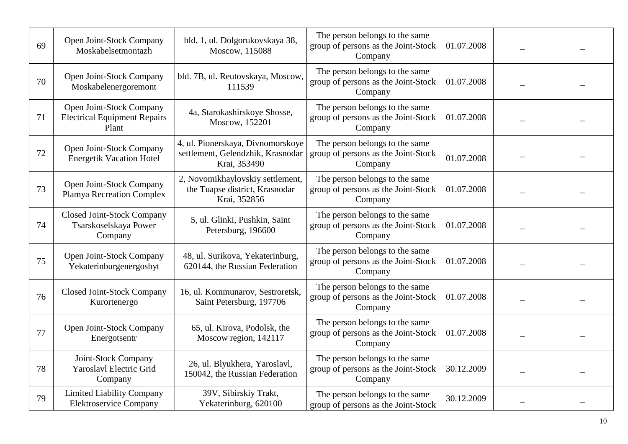| 69 | Open Joint-Stock Company<br>Moskabelsetmontazh                           | bld. 1, ul. Dolgorukovskaya 38,<br>Moscow, 115088                                      | The person belongs to the same<br>group of persons as the Joint-Stock<br>Company | 01.07.2008 |  |
|----|--------------------------------------------------------------------------|----------------------------------------------------------------------------------------|----------------------------------------------------------------------------------|------------|--|
| 70 | Open Joint-Stock Company<br>Moskabelenergoremont                         | bld. 7B, ul. Reutovskaya, Moscow,<br>111539                                            | The person belongs to the same<br>group of persons as the Joint-Stock<br>Company | 01.07.2008 |  |
| 71 | Open Joint-Stock Company<br><b>Electrical Equipment Repairs</b><br>Plant | 4a, Starokashirskoye Shosse,<br>Moscow, 152201                                         | The person belongs to the same<br>group of persons as the Joint-Stock<br>Company | 01.07.2008 |  |
| 72 | Open Joint-Stock Company<br><b>Energetik Vacation Hotel</b>              | 4, ul. Pionerskaya, Divnomorskoye<br>settlement, Gelendzhik, Krasnodar<br>Krai, 353490 | The person belongs to the same<br>group of persons as the Joint-Stock<br>Company | 01.07.2008 |  |
| 73 | Open Joint-Stock Company<br>Plamya Recreation Complex                    | 2, Novomikhaylovskiy settlement,<br>the Tuapse district, Krasnodar<br>Krai, 352856     | The person belongs to the same<br>group of persons as the Joint-Stock<br>Company | 01.07.2008 |  |
| 74 | Closed Joint-Stock Company<br>Tsarskoselskaya Power<br>Company           | 5, ul. Glinki, Pushkin, Saint<br>Petersburg, 196600                                    | The person belongs to the same<br>group of persons as the Joint-Stock<br>Company | 01.07.2008 |  |
| 75 | Open Joint-Stock Company<br>Yekaterinburgenergosbyt                      | 48, ul. Surikova, Yekaterinburg,<br>620144, the Russian Federation                     | The person belongs to the same<br>group of persons as the Joint-Stock<br>Company | 01.07.2008 |  |
| 76 | <b>Closed Joint-Stock Company</b><br>Kurortenergo                        | 16, ul. Kommunarov, Sestroretsk,<br>Saint Petersburg, 197706                           | The person belongs to the same<br>group of persons as the Joint-Stock<br>Company | 01.07.2008 |  |
| 77 | Open Joint-Stock Company<br>Energotsentr                                 | 65, ul. Kirova, Podolsk, the<br>Moscow region, 142117                                  | The person belongs to the same<br>group of persons as the Joint-Stock<br>Company | 01.07.2008 |  |
| 78 | Joint-Stock Company<br>Yaroslavl Electric Grid<br>Company                | 26, ul. Blyukhera, Yaroslavl,<br>150042, the Russian Federation                        | The person belongs to the same<br>group of persons as the Joint-Stock<br>Company | 30.12.2009 |  |
| 79 | <b>Limited Liability Company</b><br><b>Elektroservice Company</b>        | 39V, Sibirskiy Trakt,<br>Yekaterinburg, 620100                                         | The person belongs to the same<br>group of persons as the Joint-Stock            | 30.12.2009 |  |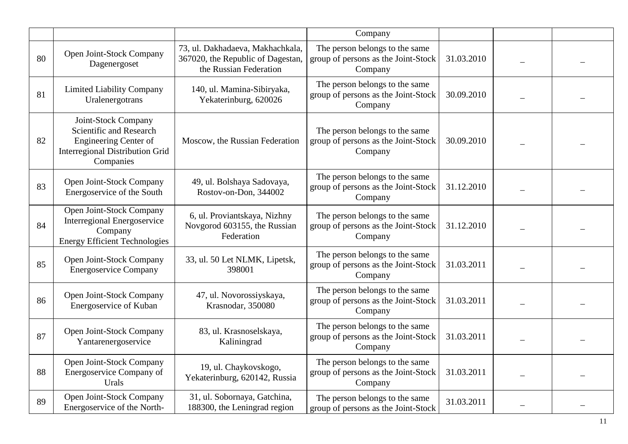|    |                                                                                                                                       |                                                                                                 | Company                                                                          |            |  |
|----|---------------------------------------------------------------------------------------------------------------------------------------|-------------------------------------------------------------------------------------------------|----------------------------------------------------------------------------------|------------|--|
| 80 | Open Joint-Stock Company<br>Dagenergoset                                                                                              | 73, ul. Dakhadaeva, Makhachkala,<br>367020, the Republic of Dagestan,<br>the Russian Federation | The person belongs to the same<br>group of persons as the Joint-Stock<br>Company | 31.03.2010 |  |
| 81 | <b>Limited Liability Company</b><br>Uralenergotrans                                                                                   | 140, ul. Mamina-Sibiryaka,<br>Yekaterinburg, 620026                                             | The person belongs to the same<br>group of persons as the Joint-Stock<br>Company | 30.09.2010 |  |
| 82 | Joint-Stock Company<br>Scientific and Research<br><b>Engineering Center of</b><br><b>Interregional Distribution Grid</b><br>Companies | Moscow, the Russian Federation                                                                  | The person belongs to the same<br>group of persons as the Joint-Stock<br>Company | 30.09.2010 |  |
| 83 | Open Joint-Stock Company<br>Energoservice of the South                                                                                | 49, ul. Bolshaya Sadovaya,<br>Rostov-on-Don, 344002                                             | The person belongs to the same<br>group of persons as the Joint-Stock<br>Company | 31.12.2010 |  |
| 84 | Open Joint-Stock Company<br><b>Interregional Energoservice</b><br>Company<br><b>Energy Efficient Technologies</b>                     | 6, ul. Proviantskaya, Nizhny<br>Novgorod 603155, the Russian<br>Federation                      | The person belongs to the same<br>group of persons as the Joint-Stock<br>Company | 31.12.2010 |  |
| 85 | Open Joint-Stock Company<br><b>Energoservice Company</b>                                                                              | 33, ul. 50 Let NLMK, Lipetsk,<br>398001                                                         | The person belongs to the same<br>group of persons as the Joint-Stock<br>Company | 31.03.2011 |  |
| 86 | Open Joint-Stock Company<br>Energoservice of Kuban                                                                                    | 47, ul. Novorossiyskaya,<br>Krasnodar, 350080                                                   | The person belongs to the same<br>group of persons as the Joint-Stock<br>Company | 31.03.2011 |  |
| 87 | Open Joint-Stock Company<br>Yantarenergoservice                                                                                       | 83, ul. Krasnoselskaya,<br>Kaliningrad                                                          | The person belongs to the same<br>group of persons as the Joint-Stock<br>Company | 31.03.2011 |  |
| 88 | Open Joint-Stock Company<br>Energoservice Company of<br>Urals                                                                         | 19, ul. Chaykovskogo,<br>Yekaterinburg, 620142, Russia                                          | The person belongs to the same<br>group of persons as the Joint-Stock<br>Company | 31.03.2011 |  |
| 89 | <b>Open Joint-Stock Company</b><br>Energoservice of the North-                                                                        | 31, ul. Sobornaya, Gatchina,<br>188300, the Leningrad region                                    | The person belongs to the same<br>group of persons as the Joint-Stock            | 31.03.2011 |  |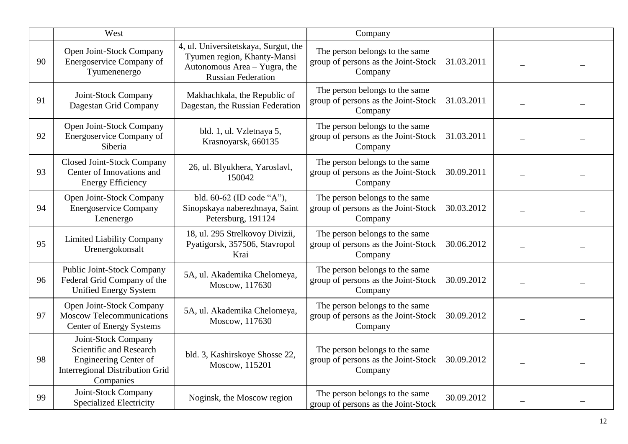|    | West                                                                                                                                  |                                                                                                                                  | Company                                                                          |            |  |
|----|---------------------------------------------------------------------------------------------------------------------------------------|----------------------------------------------------------------------------------------------------------------------------------|----------------------------------------------------------------------------------|------------|--|
| 90 | Open Joint-Stock Company<br>Energoservice Company of<br>Tyumenenergo                                                                  | 4, ul. Universitetskaya, Surgut, the<br>Tyumen region, Khanty-Mansi<br>Autonomous Area - Yugra, the<br><b>Russian Federation</b> | The person belongs to the same<br>group of persons as the Joint-Stock<br>Company | 31.03.2011 |  |
| 91 | Joint-Stock Company<br>Dagestan Grid Company                                                                                          | Makhachkala, the Republic of<br>Dagestan, the Russian Federation                                                                 | The person belongs to the same<br>group of persons as the Joint-Stock<br>Company | 31.03.2011 |  |
| 92 | Open Joint-Stock Company<br>Energoservice Company of<br>Siberia                                                                       | bld. 1, ul. Vzletnaya 5,<br>Krasnoyarsk, 660135                                                                                  | The person belongs to the same<br>group of persons as the Joint-Stock<br>Company | 31.03.2011 |  |
| 93 | <b>Closed Joint-Stock Company</b><br>Center of Innovations and<br><b>Energy Efficiency</b>                                            | 26, ul. Blyukhera, Yaroslavl,<br>150042                                                                                          | The person belongs to the same<br>group of persons as the Joint-Stock<br>Company | 30.09.2011 |  |
| 94 | Open Joint-Stock Company<br><b>Energoservice Company</b><br>Lenenergo                                                                 | bld. 60-62 (ID code "A"),<br>Sinopskaya naberezhnaya, Saint<br>Petersburg, 191124                                                | The person belongs to the same<br>group of persons as the Joint-Stock<br>Company | 30.03.2012 |  |
| 95 | <b>Limited Liability Company</b><br>Urenergokonsalt                                                                                   | 18, ul. 295 Strelkovoy Divizii,<br>Pyatigorsk, 357506, Stavropol<br>Krai                                                         | The person belongs to the same<br>group of persons as the Joint-Stock<br>Company | 30.06.2012 |  |
| 96 | <b>Public Joint-Stock Company</b><br>Federal Grid Company of the<br><b>Unified Energy System</b>                                      | 5A, ul. Akademika Chelomeya,<br>Moscow, 117630                                                                                   | The person belongs to the same<br>group of persons as the Joint-Stock<br>Company | 30.09.2012 |  |
| 97 | Open Joint-Stock Company<br>Moscow Telecommunications<br>Center of Energy Systems                                                     | 5A, ul. Akademika Chelomeya,<br>Moscow, 117630                                                                                   | The person belongs to the same<br>group of persons as the Joint-Stock<br>Company | 30.09.2012 |  |
| 98 | Joint-Stock Company<br>Scientific and Research<br><b>Engineering Center of</b><br><b>Interregional Distribution Grid</b><br>Companies | bld. 3, Kashirskoye Shosse 22,<br>Moscow, 115201                                                                                 | The person belongs to the same<br>group of persons as the Joint-Stock<br>Company | 30.09.2012 |  |
| 99 | Joint-Stock Company<br><b>Specialized Electricity</b>                                                                                 | Noginsk, the Moscow region                                                                                                       | The person belongs to the same<br>group of persons as the Joint-Stock            | 30.09.2012 |  |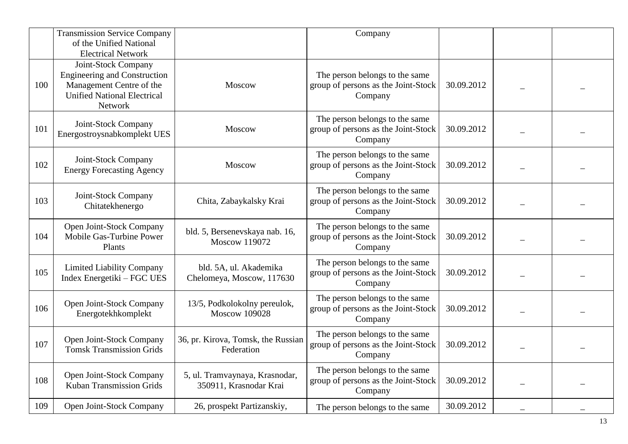|     | <b>Transmission Service Company</b><br>of the Unified National<br><b>Electrical Network</b>                                             |                                                          | Company                                                                          |            |  |
|-----|-----------------------------------------------------------------------------------------------------------------------------------------|----------------------------------------------------------|----------------------------------------------------------------------------------|------------|--|
| 100 | Joint-Stock Company<br><b>Engineering and Construction</b><br>Management Centre of the<br><b>Unified National Electrical</b><br>Network | Moscow                                                   | The person belongs to the same<br>group of persons as the Joint-Stock<br>Company | 30.09.2012 |  |
| 101 | Joint-Stock Company<br>Energostroysnabkomplekt UES                                                                                      | Moscow                                                   | The person belongs to the same<br>group of persons as the Joint-Stock<br>Company | 30.09.2012 |  |
| 102 | Joint-Stock Company<br><b>Energy Forecasting Agency</b>                                                                                 | Moscow                                                   | The person belongs to the same<br>group of persons as the Joint-Stock<br>Company | 30.09.2012 |  |
| 103 | Joint-Stock Company<br>Chitatekhenergo                                                                                                  | Chita, Zabaykalsky Krai                                  | The person belongs to the same<br>group of persons as the Joint-Stock<br>Company | 30.09.2012 |  |
| 104 | Open Joint-Stock Company<br>Mobile Gas-Turbine Power<br>Plants                                                                          | bld. 5, Bersenevskaya nab. 16,<br><b>Moscow 119072</b>   | The person belongs to the same<br>group of persons as the Joint-Stock<br>Company | 30.09.2012 |  |
| 105 | <b>Limited Liability Company</b><br>Index Energetiki - FGC UES                                                                          | bld. 5A, ul. Akademika<br>Chelomeya, Moscow, 117630      | The person belongs to the same<br>group of persons as the Joint-Stock<br>Company | 30.09.2012 |  |
| 106 | Open Joint-Stock Company<br>Energotekhkomplekt                                                                                          | 13/5, Podkolokolny pereulok,<br><b>Moscow 109028</b>     | The person belongs to the same<br>group of persons as the Joint-Stock<br>Company | 30.09.2012 |  |
| 107 | Open Joint-Stock Company<br><b>Tomsk Transmission Grids</b>                                                                             | 36, pr. Kirova, Tomsk, the Russian<br>Federation         | The person belongs to the same<br>group of persons as the Joint-Stock<br>Company | 30.09.2012 |  |
| 108 | Open Joint-Stock Company<br><b>Kuban Transmission Grids</b>                                                                             | 5, ul. Tramvaynaya, Krasnodar,<br>350911, Krasnodar Krai | The person belongs to the same<br>group of persons as the Joint-Stock<br>Company | 30.09.2012 |  |
| 109 | Open Joint-Stock Company                                                                                                                | 26, prospekt Partizanskiy,                               | The person belongs to the same                                                   | 30.09.2012 |  |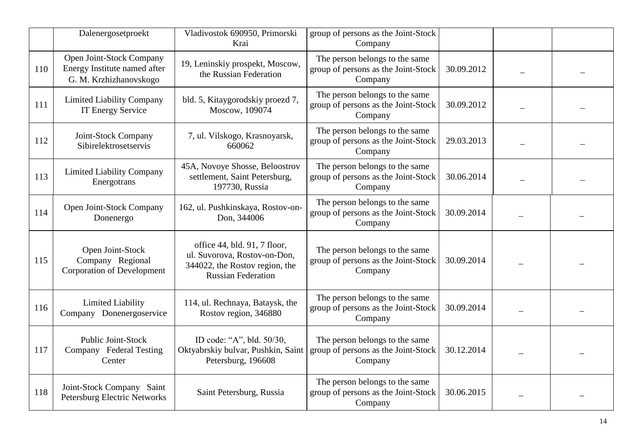|     | Dalenergosetproekt                                                                 | Vladivostok 690950, Primorski<br>Krai                                                                                       | group of persons as the Joint-Stock<br>Company                                   |            |  |
|-----|------------------------------------------------------------------------------------|-----------------------------------------------------------------------------------------------------------------------------|----------------------------------------------------------------------------------|------------|--|
| 110 | Open Joint-Stock Company<br>Energy Institute named after<br>G. M. Krzhizhanovskogo | 19, Leninskiy prospekt, Moscow,<br>the Russian Federation                                                                   | The person belongs to the same<br>group of persons as the Joint-Stock<br>Company | 30.09.2012 |  |
| 111 | <b>Limited Liability Company</b><br>IT Energy Service                              | bld. 5, Kitaygorodskiy proezd 7,<br>Moscow, 109074                                                                          | The person belongs to the same<br>group of persons as the Joint-Stock<br>Company | 30.09.2012 |  |
| 112 | Joint-Stock Company<br>Sibirelektrosetservis                                       | 7, ul. Vilskogo, Krasnoyarsk,<br>660062                                                                                     | The person belongs to the same<br>group of persons as the Joint-Stock<br>Company | 29.03.2013 |  |
| 113 | <b>Limited Liability Company</b><br>Energotrans                                    | 45A, Novoye Shosse, Beloostrov<br>settlement, Saint Petersburg,<br>197730, Russia                                           | The person belongs to the same<br>group of persons as the Joint-Stock<br>Company | 30.06.2014 |  |
| 114 | Open Joint-Stock Company<br>Donenergo                                              | 162, ul. Pushkinskaya, Rostov-on-<br>Don, 344006                                                                            | The person belongs to the same<br>group of persons as the Joint-Stock<br>Company | 30.09.2014 |  |
| 115 | Open Joint-Stock<br>Company Regional<br><b>Corporation of Development</b>          | office 44, bld. 91, 7 floor,<br>ul. Suvorova, Rostov-on-Don,<br>344022, the Rostov region, the<br><b>Russian Federation</b> | The person belongs to the same<br>group of persons as the Joint-Stock<br>Company | 30.09.2014 |  |
| 116 | <b>Limited Liability</b><br>Company Donenergoservice                               | 114, ul. Rechnaya, Bataysk, the<br>Rostov region, 346880                                                                    | The person belongs to the same<br>group of persons as the Joint-Stock<br>Company | 30.09.2014 |  |
| 117 | <b>Public Joint-Stock</b><br>Company Federal Testing<br>Center                     | ID code: "A", bld. 50/30,<br>Oktyabrskiy bulvar, Pushkin, Saint<br>Petersburg, 196608                                       | The person belongs to the same<br>group of persons as the Joint-Stock<br>Company | 30.12.2014 |  |
| 118 | Joint-Stock Company Saint<br><b>Petersburg Electric Networks</b>                   | Saint Petersburg, Russia                                                                                                    | The person belongs to the same<br>group of persons as the Joint-Stock<br>Company | 30.06.2015 |  |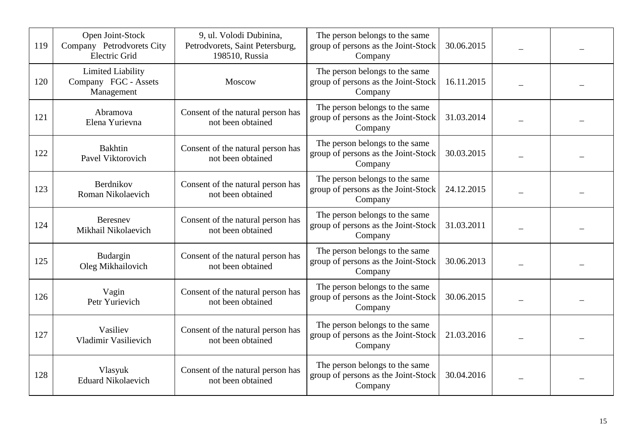| 119 | Open Joint-Stock<br>Company Petrodvorets City<br>Electric Grid | 9, ul. Volodi Dubinina,<br>Petrodvorets, Saint Petersburg,<br>198510, Russia | The person belongs to the same<br>group of persons as the Joint-Stock<br>Company | 30.06.2015 |  |
|-----|----------------------------------------------------------------|------------------------------------------------------------------------------|----------------------------------------------------------------------------------|------------|--|
| 120 | Limited Liability<br>Company FGC - Assets<br>Management        | Moscow                                                                       | The person belongs to the same<br>group of persons as the Joint-Stock<br>Company | 16.11.2015 |  |
| 121 | Abramova<br>Elena Yurievna                                     | Consent of the natural person has<br>not been obtained                       | The person belongs to the same<br>group of persons as the Joint-Stock<br>Company | 31.03.2014 |  |
| 122 | <b>Bakhtin</b><br>Pavel Viktorovich                            | Consent of the natural person has<br>not been obtained                       | The person belongs to the same<br>group of persons as the Joint-Stock<br>Company | 30.03.2015 |  |
| 123 | Berdnikov<br>Roman Nikolaevich                                 | Consent of the natural person has<br>not been obtained                       | The person belongs to the same<br>group of persons as the Joint-Stock<br>Company | 24.12.2015 |  |
| 124 | Beresney<br>Mikhail Nikolaevich                                | Consent of the natural person has<br>not been obtained                       | The person belongs to the same<br>group of persons as the Joint-Stock<br>Company | 31.03.2011 |  |
| 125 | Budargin<br>Oleg Mikhailovich                                  | Consent of the natural person has<br>not been obtained                       | The person belongs to the same<br>group of persons as the Joint-Stock<br>Company | 30.06.2013 |  |
| 126 | Vagin<br>Petr Yurievich                                        | Consent of the natural person has<br>not been obtained                       | The person belongs to the same<br>group of persons as the Joint-Stock<br>Company | 30.06.2015 |  |
| 127 | Vasiliev<br>Vladimir Vasilievich                               | Consent of the natural person has<br>not been obtained                       | The person belongs to the same<br>group of persons as the Joint-Stock<br>Company | 21.03.2016 |  |
| 128 | Vlasyuk<br><b>Eduard Nikolaevich</b>                           | Consent of the natural person has<br>not been obtained                       | The person belongs to the same<br>group of persons as the Joint-Stock<br>Company | 30.04.2016 |  |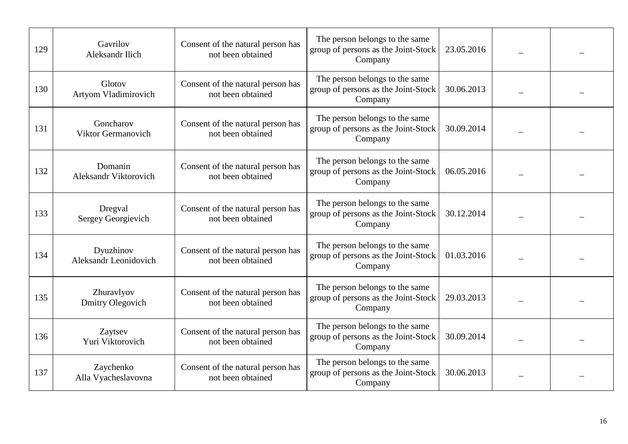| 129 | Gavrilov<br><b>Aleksandr Ilich</b>      | Consent of the natural person has<br>not been obtained | The person belongs to the same<br>group of persons as the Joint-Stock<br>Company | 23.05.2016 |  |
|-----|-----------------------------------------|--------------------------------------------------------|----------------------------------------------------------------------------------|------------|--|
| 130 | Glotov<br>Artyom Vladimirovich          | Consent of the natural person has<br>not been obtained | The person belongs to the same<br>group of persons as the Joint-Stock<br>Company | 30.06.2013 |  |
| 131 | Goncharov<br>Viktor Germanovich         | Consent of the natural person has<br>not been obtained | The person belongs to the same<br>group of persons as the Joint-Stock<br>Company | 30.09.2014 |  |
| 132 | Domanin<br><b>Aleksandr Viktorovich</b> | Consent of the natural person has<br>not been obtained | The person belongs to the same<br>group of persons as the Joint-Stock<br>Company | 06.05.2016 |  |
| 133 | Dregval<br>Sergey Georgievich           | Consent of the natural person has<br>not been obtained | The person belongs to the same<br>group of persons as the Joint-Stock<br>Company | 30.12.2014 |  |
| 134 | Dyuzhinov<br>Aleksandr Leonidovich      | Consent of the natural person has<br>not been obtained | The person belongs to the same<br>group of persons as the Joint-Stock<br>Company | 01.03.2016 |  |
| 135 | Zhuravlyov<br>Dmitry Olegovich          | Consent of the natural person has<br>not been obtained | The person belongs to the same<br>group of persons as the Joint-Stock<br>Company | 29.03.2013 |  |
| 136 | Zaytsev<br>Yuri Viktorovich             | Consent of the natural person has<br>not been obtained | The person belongs to the same<br>group of persons as the Joint-Stock<br>Company | 30.09.2014 |  |
| 137 | Zaychenko<br>Alla Vyacheslavovna        | Consent of the natural person has<br>not been obtained | The person belongs to the same<br>group of persons as the Joint-Stock<br>Company | 30.06.2013 |  |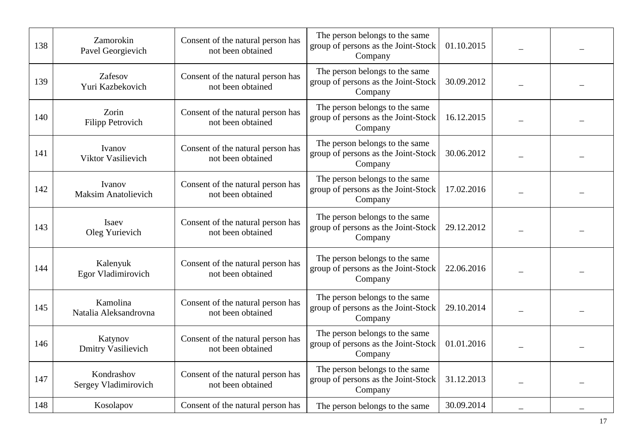| 138 | Zamorokin<br>Pavel Georgievich       | Consent of the natural person has<br>not been obtained | The person belongs to the same<br>group of persons as the Joint-Stock<br>Company | 01.10.2015 |  |
|-----|--------------------------------------|--------------------------------------------------------|----------------------------------------------------------------------------------|------------|--|
| 139 | Zafesov<br>Yuri Kazbekovich          | Consent of the natural person has<br>not been obtained | The person belongs to the same<br>group of persons as the Joint-Stock<br>Company | 30.09.2012 |  |
| 140 | Zorin<br><b>Filipp Petrovich</b>     | Consent of the natural person has<br>not been obtained | The person belongs to the same<br>group of persons as the Joint-Stock<br>Company | 16.12.2015 |  |
| 141 | Ivanov<br>Viktor Vasilievich         | Consent of the natural person has<br>not been obtained | The person belongs to the same<br>group of persons as the Joint-Stock<br>Company | 30.06.2012 |  |
| 142 | Ivanov<br><b>Maksim Anatolievich</b> | Consent of the natural person has<br>not been obtained | The person belongs to the same<br>group of persons as the Joint-Stock<br>Company | 17.02.2016 |  |
| 143 | Isaev<br>Oleg Yurievich              | Consent of the natural person has<br>not been obtained | The person belongs to the same<br>group of persons as the Joint-Stock<br>Company | 29.12.2012 |  |
| 144 | Kalenyuk<br>Egor Vladimirovich       | Consent of the natural person has<br>not been obtained | The person belongs to the same<br>group of persons as the Joint-Stock<br>Company | 22.06.2016 |  |
| 145 | Kamolina<br>Natalia Aleksandrovna    | Consent of the natural person has<br>not been obtained | The person belongs to the same<br>group of persons as the Joint-Stock<br>Company | 29.10.2014 |  |
| 146 | Katynov<br><b>Dmitry Vasilievich</b> | Consent of the natural person has<br>not been obtained | The person belongs to the same<br>group of persons as the Joint-Stock<br>Company | 01.01.2016 |  |
| 147 | Kondrashov<br>Sergey Vladimirovich   | Consent of the natural person has<br>not been obtained | The person belongs to the same<br>group of persons as the Joint-Stock<br>Company | 31.12.2013 |  |
| 148 | Kosolapov                            | Consent of the natural person has                      | The person belongs to the same                                                   | 30.09.2014 |  |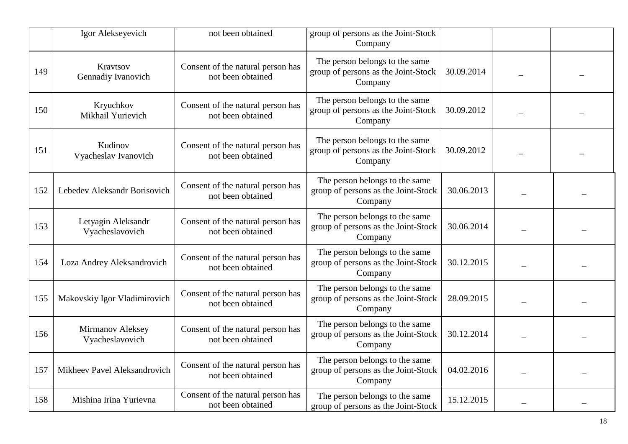|     | Igor Alekseyevich                     | not been obtained                                      | group of persons as the Joint-Stock<br>Company                                   |            |  |
|-----|---------------------------------------|--------------------------------------------------------|----------------------------------------------------------------------------------|------------|--|
| 149 | Kravtsov<br>Gennadiy Ivanovich        | Consent of the natural person has<br>not been obtained | The person belongs to the same<br>group of persons as the Joint-Stock<br>Company | 30.09.2014 |  |
| 150 | Kryuchkov<br>Mikhail Yurievich        | Consent of the natural person has<br>not been obtained | The person belongs to the same<br>group of persons as the Joint-Stock<br>Company | 30.09.2012 |  |
| 151 | Kudinov<br>Vyacheslav Ivanovich       | Consent of the natural person has<br>not been obtained | The person belongs to the same<br>group of persons as the Joint-Stock<br>Company | 30.09.2012 |  |
| 152 | Lebedev Aleksandr Borisovich          | Consent of the natural person has<br>not been obtained | The person belongs to the same<br>group of persons as the Joint-Stock<br>Company | 30.06.2013 |  |
| 153 | Letyagin Aleksandr<br>Vyacheslavovich | Consent of the natural person has<br>not been obtained | The person belongs to the same<br>group of persons as the Joint-Stock<br>Company | 30.06.2014 |  |
| 154 | Loza Andrey Aleksandrovich            | Consent of the natural person has<br>not been obtained | The person belongs to the same<br>group of persons as the Joint-Stock<br>Company | 30.12.2015 |  |
| 155 | Makovskiy Igor Vladimirovich          | Consent of the natural person has<br>not been obtained | The person belongs to the same<br>group of persons as the Joint-Stock<br>Company | 28.09.2015 |  |
| 156 | Mirmanov Aleksey<br>Vyacheslavovich   | Consent of the natural person has<br>not been obtained | The person belongs to the same<br>group of persons as the Joint-Stock<br>Company | 30.12.2014 |  |
| 157 | Mikheev Pavel Aleksandrovich          | Consent of the natural person has<br>not been obtained | The person belongs to the same<br>group of persons as the Joint-Stock<br>Company | 04.02.2016 |  |
| 158 | Mishina Irina Yurievna                | Consent of the natural person has<br>not been obtained | The person belongs to the same<br>group of persons as the Joint-Stock            | 15.12.2015 |  |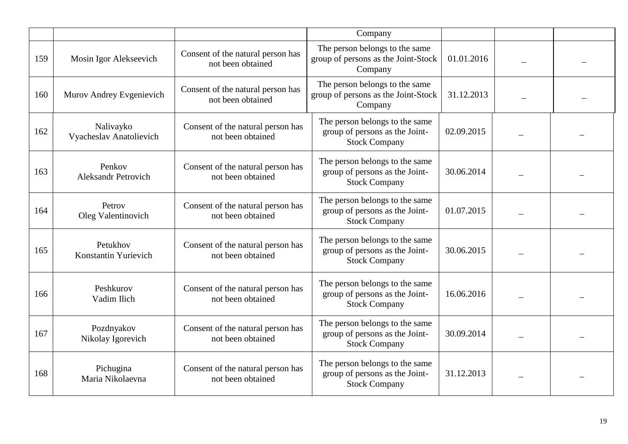|     |                                      |                                                        | Company                                                                                  |            |  |
|-----|--------------------------------------|--------------------------------------------------------|------------------------------------------------------------------------------------------|------------|--|
| 159 | Mosin Igor Alekseevich               | Consent of the natural person has<br>not been obtained | The person belongs to the same<br>group of persons as the Joint-Stock<br>Company         | 01.01.2016 |  |
| 160 | Murov Andrey Evgenievich             | Consent of the natural person has<br>not been obtained | The person belongs to the same<br>group of persons as the Joint-Stock<br>Company         | 31.12.2013 |  |
| 162 | Nalivayko<br>Vyacheslav Anatolievich | Consent of the natural person has<br>not been obtained | The person belongs to the same<br>group of persons as the Joint-<br><b>Stock Company</b> | 02.09.2015 |  |
| 163 | Penkov<br><b>Aleksandr Petrovich</b> | Consent of the natural person has<br>not been obtained | The person belongs to the same<br>group of persons as the Joint-<br><b>Stock Company</b> | 30.06.2014 |  |
| 164 | Petrov<br>Oleg Valentinovich         | Consent of the natural person has<br>not been obtained | The person belongs to the same<br>group of persons as the Joint-<br><b>Stock Company</b> | 01.07.2015 |  |
| 165 | Petukhov<br>Konstantin Yurievich     | Consent of the natural person has<br>not been obtained | The person belongs to the same<br>group of persons as the Joint-<br><b>Stock Company</b> | 30.06.2015 |  |
| 166 | Peshkurov<br>Vadim Ilich             | Consent of the natural person has<br>not been obtained | The person belongs to the same<br>group of persons as the Joint-<br><b>Stock Company</b> | 16.06.2016 |  |
| 167 | Pozdnyakov<br>Nikolay Igorevich      | Consent of the natural person has<br>not been obtained | The person belongs to the same<br>group of persons as the Joint-<br><b>Stock Company</b> | 30.09.2014 |  |
| 168 | Pichugina<br>Maria Nikolaevna        | Consent of the natural person has<br>not been obtained | The person belongs to the same<br>group of persons as the Joint-<br><b>Stock Company</b> | 31.12.2013 |  |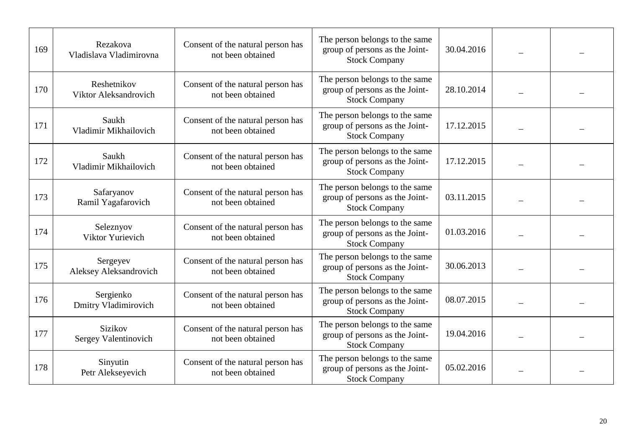| 169 | Rezakova<br>Vladislava Vladimirovna    | Consent of the natural person has<br>not been obtained | The person belongs to the same<br>group of persons as the Joint-<br><b>Stock Company</b> | 30.04.2016 |  |
|-----|----------------------------------------|--------------------------------------------------------|------------------------------------------------------------------------------------------|------------|--|
| 170 | Reshetnikov<br>Viktor Aleksandrovich   | Consent of the natural person has<br>not been obtained | The person belongs to the same<br>group of persons as the Joint-<br><b>Stock Company</b> | 28.10.2014 |  |
| 171 | Saukh<br>Vladimir Mikhailovich         | Consent of the natural person has<br>not been obtained | The person belongs to the same<br>group of persons as the Joint-<br><b>Stock Company</b> | 17.12.2015 |  |
| 172 | Saukh<br>Vladimir Mikhailovich         | Consent of the natural person has<br>not been obtained | The person belongs to the same<br>group of persons as the Joint-<br><b>Stock Company</b> | 17.12.2015 |  |
| 173 | Safaryanov<br>Ramil Yagafarovich       | Consent of the natural person has<br>not been obtained | The person belongs to the same<br>group of persons as the Joint-<br><b>Stock Company</b> | 03.11.2015 |  |
| 174 | Seleznyov<br>Viktor Yurievich          | Consent of the natural person has<br>not been obtained | The person belongs to the same<br>group of persons as the Joint-<br><b>Stock Company</b> | 01.03.2016 |  |
| 175 | Sergeyev<br>Aleksey Aleksandrovich     | Consent of the natural person has<br>not been obtained | The person belongs to the same<br>group of persons as the Joint-<br><b>Stock Company</b> | 30.06.2013 |  |
| 176 | Sergienko<br>Dmitry Vladimirovich      | Consent of the natural person has<br>not been obtained | The person belongs to the same<br>group of persons as the Joint-<br><b>Stock Company</b> | 08.07.2015 |  |
| 177 | <b>Sizikov</b><br>Sergey Valentinovich | Consent of the natural person has<br>not been obtained | The person belongs to the same<br>group of persons as the Joint-<br><b>Stock Company</b> | 19.04.2016 |  |
| 178 | Sinyutin<br>Petr Alekseyevich          | Consent of the natural person has<br>not been obtained | The person belongs to the same<br>group of persons as the Joint-<br><b>Stock Company</b> | 05.02.2016 |  |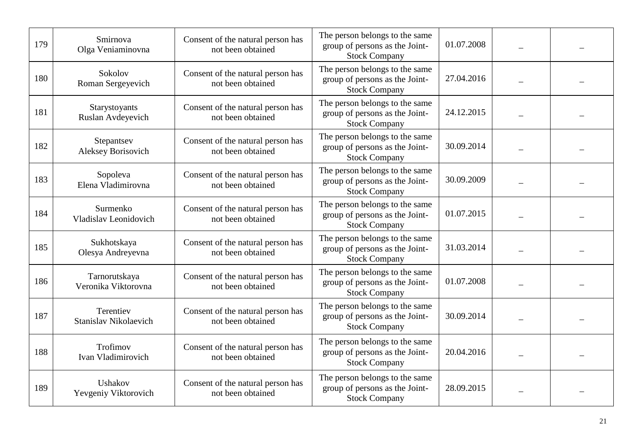| 179 | Smirnova<br>Olga Veniaminovna        | Consent of the natural person has<br>not been obtained | The person belongs to the same<br>group of persons as the Joint-<br><b>Stock Company</b> | 01.07.2008 |  |
|-----|--------------------------------------|--------------------------------------------------------|------------------------------------------------------------------------------------------|------------|--|
| 180 | Sokolov<br>Roman Sergeyevich         | Consent of the natural person has<br>not been obtained | The person belongs to the same<br>group of persons as the Joint-<br><b>Stock Company</b> | 27.04.2016 |  |
| 181 | Starystoyants<br>Ruslan Avdeyevich   | Consent of the natural person has<br>not been obtained | The person belongs to the same<br>group of persons as the Joint-<br><b>Stock Company</b> | 24.12.2015 |  |
| 182 | Stepantsev<br>Aleksey Borisovich     | Consent of the natural person has<br>not been obtained | The person belongs to the same<br>group of persons as the Joint-<br><b>Stock Company</b> | 30.09.2014 |  |
| 183 | Sopoleva<br>Elena Vladimirovna       | Consent of the natural person has<br>not been obtained | The person belongs to the same<br>group of persons as the Joint-<br><b>Stock Company</b> | 30.09.2009 |  |
| 184 | Surmenko<br>Vladislav Leonidovich    | Consent of the natural person has<br>not been obtained | The person belongs to the same<br>group of persons as the Joint-<br><b>Stock Company</b> | 01.07.2015 |  |
| 185 | Sukhotskaya<br>Olesya Andreyevna     | Consent of the natural person has<br>not been obtained | The person belongs to the same<br>group of persons as the Joint-<br><b>Stock Company</b> | 31.03.2014 |  |
| 186 | Tarnorutskaya<br>Veronika Viktorovna | Consent of the natural person has<br>not been obtained | The person belongs to the same<br>group of persons as the Joint-<br><b>Stock Company</b> | 01.07.2008 |  |
| 187 | Terentiev<br>Stanislav Nikolaevich   | Consent of the natural person has<br>not been obtained | The person belongs to the same<br>group of persons as the Joint-<br><b>Stock Company</b> | 30.09.2014 |  |
| 188 | Trofimov<br>Ivan Vladimirovich       | Consent of the natural person has<br>not been obtained | The person belongs to the same<br>group of persons as the Joint-<br><b>Stock Company</b> | 20.04.2016 |  |
| 189 | Ushakov<br>Yevgeniy Viktorovich      | Consent of the natural person has<br>not been obtained | The person belongs to the same<br>group of persons as the Joint-<br><b>Stock Company</b> | 28.09.2015 |  |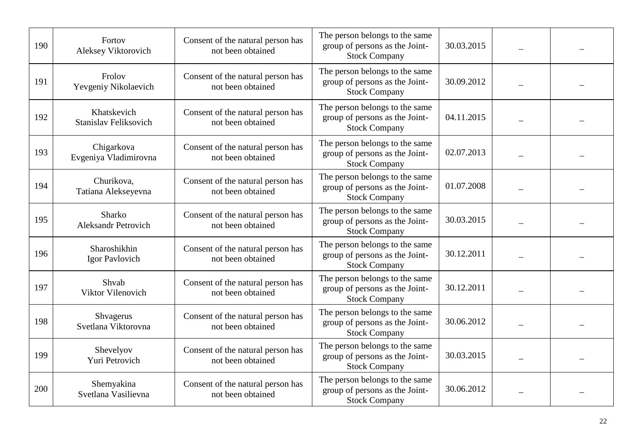| 190 | Fortov<br>Aleksey Viktorovich               | Consent of the natural person has<br>not been obtained | The person belongs to the same<br>group of persons as the Joint-<br><b>Stock Company</b> | 30.03.2015 |  |
|-----|---------------------------------------------|--------------------------------------------------------|------------------------------------------------------------------------------------------|------------|--|
| 191 | Frolov<br>Yevgeniy Nikolaevich              | Consent of the natural person has<br>not been obtained | The person belongs to the same<br>group of persons as the Joint-<br><b>Stock Company</b> | 30.09.2012 |  |
| 192 | Khatskevich<br><b>Stanislav Feliksovich</b> | Consent of the natural person has<br>not been obtained | The person belongs to the same<br>group of persons as the Joint-<br><b>Stock Company</b> | 04.11.2015 |  |
| 193 | Chigarkova<br>Evgeniya Vladimirovna         | Consent of the natural person has<br>not been obtained | The person belongs to the same<br>group of persons as the Joint-<br><b>Stock Company</b> | 02.07.2013 |  |
| 194 | Churikova,<br>Tatiana Alekseyevna           | Consent of the natural person has<br>not been obtained | The person belongs to the same<br>group of persons as the Joint-<br><b>Stock Company</b> | 01.07.2008 |  |
| 195 | Sharko<br><b>Aleksandr Petrovich</b>        | Consent of the natural person has<br>not been obtained | The person belongs to the same<br>group of persons as the Joint-<br><b>Stock Company</b> | 30.03.2015 |  |
| 196 | Sharoshikhin<br>Igor Pavlovich              | Consent of the natural person has<br>not been obtained | The person belongs to the same<br>group of persons as the Joint-<br><b>Stock Company</b> | 30.12.2011 |  |
| 197 | Shvab<br>Viktor Vilenovich                  | Consent of the natural person has<br>not been obtained | The person belongs to the same<br>group of persons as the Joint-<br><b>Stock Company</b> | 30.12.2011 |  |
| 198 | Shvagerus<br>Svetlana Viktorovna            | Consent of the natural person has<br>not been obtained | The person belongs to the same<br>group of persons as the Joint-<br><b>Stock Company</b> | 30.06.2012 |  |
| 199 | Shevelyov<br>Yuri Petrovich                 | Consent of the natural person has<br>not been obtained | The person belongs to the same<br>group of persons as the Joint-<br><b>Stock Company</b> | 30.03.2015 |  |
| 200 | Shemyakina<br>Svetlana Vasilievna           | Consent of the natural person has<br>not been obtained | The person belongs to the same<br>group of persons as the Joint-<br><b>Stock Company</b> | 30.06.2012 |  |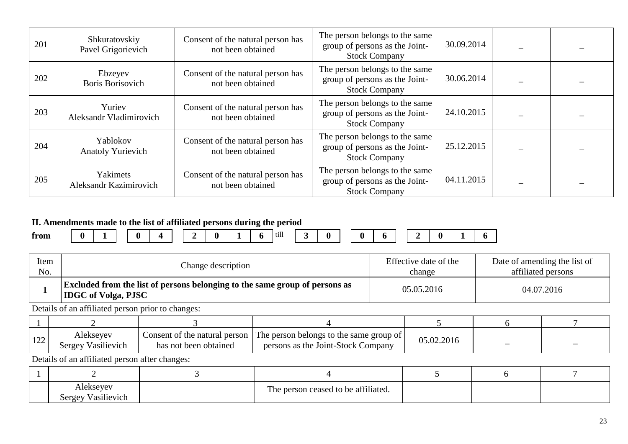| 201 | Shkuratovskiy<br>Pavel Grigorievich  | Consent of the natural person has<br>not been obtained | The person belongs to the same<br>group of persons as the Joint-<br><b>Stock Company</b> | 30.09.2014 |  |
|-----|--------------------------------------|--------------------------------------------------------|------------------------------------------------------------------------------------------|------------|--|
| 202 | Ebzeyev<br>Boris Borisovich          | Consent of the natural person has<br>not been obtained | The person belongs to the same<br>group of persons as the Joint-<br><b>Stock Company</b> | 30.06.2014 |  |
| 203 | Yuriev<br>Aleksandr Vladimirovich    | Consent of the natural person has<br>not been obtained | The person belongs to the same<br>group of persons as the Joint-<br><b>Stock Company</b> | 24.10.2015 |  |
| 204 | Yablokov<br><b>Anatoly Yurievich</b> | Consent of the natural person has<br>not been obtained | The person belongs to the same<br>group of persons as the Joint-<br><b>Stock Company</b> | 25.12.2015 |  |
| 205 | Yakimets<br>Aleksandr Kazimirovich   | Consent of the natural person has<br>not been obtained | The person belongs to the same<br>group of persons as the Joint-<br><b>Stock Company</b> | 04.11.2015 |  |

## **II. Amendments made to the list of affiliated persons during the period**

| from | $\overline{\phantom{0}}$ |  | ∕∎ | -<br>_ | <b>.</b> | ., | till |  |  |  | _ | 0 | $\overline{\phantom{0}}$ | n |  |
|------|--------------------------|--|----|--------|----------|----|------|--|--|--|---|---|--------------------------|---|--|
|      |                          |  |    |        |          |    |      |  |  |  |   |   |                          |   |  |

| Item | Change description                                                                                               | Effective date of the | Date of amending the list of |
|------|------------------------------------------------------------------------------------------------------------------|-----------------------|------------------------------|
| No.  |                                                                                                                  | change                | affiliated persons           |
|      | <b>Excluded from the list of persons belonging to the same group of persons as</b><br><b>IDGC</b> of Volga, PJSC | 05.05.2016            | 04.07.2016                   |

Details of an affiliated person prior to changes:

| 100<br>$\perp$ 44 | Aleksevev<br>Sergey Vasilievich | Consent of the natural person<br>has not been obtained | . The person belongs to the same group of $\mathsf{I}$<br>persons as the Joint-Stock Company | 05.02.2016 | _ |  |
|-------------------|---------------------------------|--------------------------------------------------------|----------------------------------------------------------------------------------------------|------------|---|--|

| Alekseyev<br>.<br>Vasilievich<br>Sergev | e person ceased to be affiliated.<br>1 <sub>he</sub> |  |  |
|-----------------------------------------|------------------------------------------------------|--|--|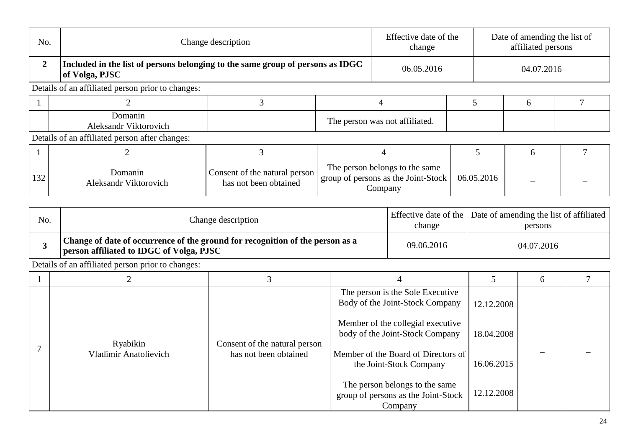| No.          |                                                                                                  | Change description                                     |                                | Effective date of the<br>change                                                  |            | Date of amending the list of<br>affiliated persons |  |  |
|--------------|--------------------------------------------------------------------------------------------------|--------------------------------------------------------|--------------------------------|----------------------------------------------------------------------------------|------------|----------------------------------------------------|--|--|
| $\mathbf{2}$ | Included in the list of persons belonging to the same group of persons as IDGC<br>of Volga, PJSC |                                                        |                                | 06.05.2016                                                                       |            | 04.07.2016                                         |  |  |
|              | Details of an affiliated person prior to changes:                                                |                                                        |                                |                                                                                  |            |                                                    |  |  |
|              |                                                                                                  |                                                        |                                | 4                                                                                |            | 6                                                  |  |  |
|              | Domanin<br><b>Aleksandr Viktorovich</b>                                                          |                                                        | The person was not affiliated. |                                                                                  |            |                                                    |  |  |
|              | Details of an affiliated person after changes:                                                   |                                                        |                                |                                                                                  |            |                                                    |  |  |
|              |                                                                                                  |                                                        |                                |                                                                                  |            | 6                                                  |  |  |
| 132          | Domanin<br>Aleksandr Viktorovich                                                                 | Consent of the natural person<br>has not been obtained |                                | The person belongs to the same<br>group of persons as the Joint-Stock<br>Company | 06.05.2016 |                                                    |  |  |

| No. | Change description                                                                                                               | change     | Effective date of the Date of amending the list of affiliated<br>persons |
|-----|----------------------------------------------------------------------------------------------------------------------------------|------------|--------------------------------------------------------------------------|
|     | Change of date of occurrence of the ground for recognition of the person as a<br><b>person affiliated to IDGC of Volga, PJSC</b> | 09.06.2016 | 04.07.2016                                                               |

|                              |                               |                                                                                  |            | $\sigma$ |  |
|------------------------------|-------------------------------|----------------------------------------------------------------------------------|------------|----------|--|
|                              |                               | The person is the Sole Executive<br>Body of the Joint-Stock Company              | 12.12.2008 |          |  |
| Ryabikin                     | Consent of the natural person | Member of the collegial executive<br>body of the Joint-Stock Company             | 18.04.2008 |          |  |
| <b>Vladimir Anatolievich</b> | has not been obtained         | Member of the Board of Directors of<br>the Joint-Stock Company                   | 16.06.2015 |          |  |
|                              |                               | The person belongs to the same<br>group of persons as the Joint-Stock<br>Company | 12.12.2008 |          |  |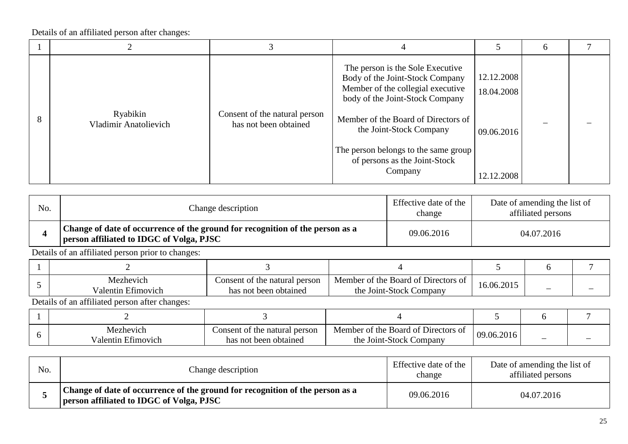|                                   |                                                        |                                                                                                                                                                                                                                                                                                   |                                                      | 6 |  |
|-----------------------------------|--------------------------------------------------------|---------------------------------------------------------------------------------------------------------------------------------------------------------------------------------------------------------------------------------------------------------------------------------------------------|------------------------------------------------------|---|--|
| Ryabikin<br>Vladimir Anatolievich | Consent of the natural person<br>has not been obtained | The person is the Sole Executive<br>Body of the Joint-Stock Company<br>Member of the collegial executive<br>body of the Joint-Stock Company<br>Member of the Board of Directors of<br>the Joint-Stock Company<br>The person belongs to the same group<br>of persons as the Joint-Stock<br>Company | 12.12.2008<br>18.04.2008<br>09.06.2016<br>12.12.2008 |   |  |

| No. | Change description                                                                                                        | Effective date of the<br>change | Date of amending the list of<br>affiliated persons |
|-----|---------------------------------------------------------------------------------------------------------------------------|---------------------------------|----------------------------------------------------|
|     | Change of date of occurrence of the ground for recognition of the person as a<br>person affiliated to IDGC of Volga, PJSC | 09.06.2016                      | 04.07.2016                                         |

Details of an affiliated person prior to changes:

| Mezhevich<br>Valentin Efimovich | Consent of the natural person<br>has not been obtained | Member of the Board of Directors of<br>the Joint-Stock Company | 16.06.2015 | – |  |
|---------------------------------|--------------------------------------------------------|----------------------------------------------------------------|------------|---|--|

| Mezhevich<br>Valentin Etimovich | Consent of the natural person<br>has not been obtained | Member of the Board of Directors of<br>the Joint-Stock Company | 09.06.2016 |  |
|---------------------------------|--------------------------------------------------------|----------------------------------------------------------------|------------|--|

| No. | Change description                                                                                                                     | Effective date of the<br>change | Date of amending the list of<br>affiliated persons |
|-----|----------------------------------------------------------------------------------------------------------------------------------------|---------------------------------|----------------------------------------------------|
|     | <sup>1</sup> Change of date of occurrence of the ground for recognition of the person as a<br>person affiliated to IDGC of Volga, PJSC | 09.06.2016                      | 04.07.2016                                         |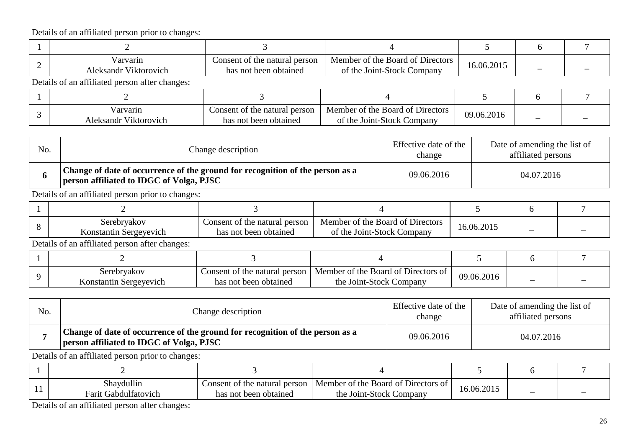| Varvarin<br>Aleksandr Viktorovich              | Consent of the natural person<br>has not been obtained | Member of the Board of Directors<br>of the Joint-Stock Company | 16.06.2015 |  |
|------------------------------------------------|--------------------------------------------------------|----------------------------------------------------------------|------------|--|
| Details of an affiliated person after changes: |                                                        |                                                                |            |  |

| Varvarin<br><b>Aleksandr Viktorovich</b> | Consent of the natural person<br>has not been obtained | Member of the Board of Directors<br>of the Joint-Stock Company | 09.06.2016 | _ | _ |
|------------------------------------------|--------------------------------------------------------|----------------------------------------------------------------|------------|---|---|

| No. | Change description                                                                                                        | Effective date of the<br>change | Date of amending the list of<br>affiliated persons |
|-----|---------------------------------------------------------------------------------------------------------------------------|---------------------------------|----------------------------------------------------|
|     | Change of date of occurrence of the ground for recognition of the person as a<br>person affiliated to IDGC of Volga, PJSC | 09.06.2016                      | 04.07.2016                                         |

Details of an affiliated person prior to changes:

| Serebryakov<br>Konstantin Sergevevich | Consent of the natural person<br>has not been obtained | Member of the Board of Directors<br>of the Joint-Stock Company | 16.06.2015 |  |
|---------------------------------------|--------------------------------------------------------|----------------------------------------------------------------|------------|--|

Details of an affiliated person after changes:

| Serebryakov<br>Konstantin Sergevevich | Consent of the natural person $\perp$<br>has not been obtained | Member of the Board of Directors of<br>the Joint-Stock Company | 09.06.2016 | - |  |
|---------------------------------------|----------------------------------------------------------------|----------------------------------------------------------------|------------|---|--|

| No. | Change description                                                                                                        | Effective date of the<br>change | Date of amending the list of<br>affiliated persons |
|-----|---------------------------------------------------------------------------------------------------------------------------|---------------------------------|----------------------------------------------------|
|     | Change of date of occurrence of the ground for recognition of the person as a<br>person affiliated to IDGC of Volga, PJSC | 09.06.2016                      | 04.07.2016                                         |

Details of an affiliated person prior to changes:

| . . | $\cdots$<br>$\sim$ 1<br>Shaydullin<br>Farit Gabdultatovich | Consent of the natural person<br>t been obtained<br>has not | $\mathbf{\cdot \cdot \cdot \cdot}$<br>Member of the Board of I<br>Directors of<br>e Joint-Stock Company<br>the | 16.06.2015 |  |
|-----|------------------------------------------------------------|-------------------------------------------------------------|----------------------------------------------------------------------------------------------------------------|------------|--|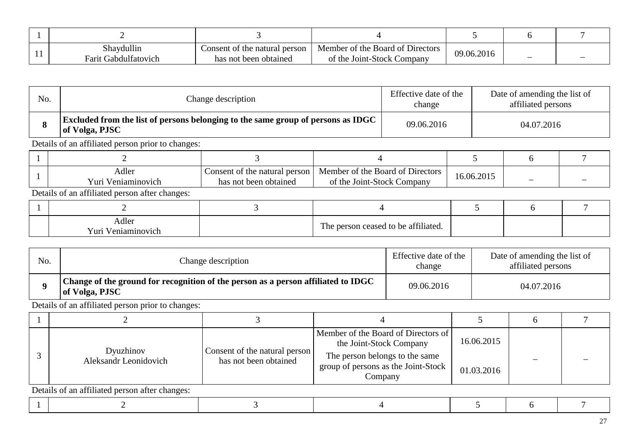|     | Shaydullin              | Consent of the natural person | Member of the Board of Directors | 09.06.2016 |  |   |
|-----|-------------------------|-------------------------------|----------------------------------|------------|--|---|
| . . | Gabdulfatovich<br>Farit | has not been obtained         | of the Joint-Stock Company       |            |  | _ |

| No. | Change description                                                                                 | Effective date of the<br>change                        |                                                                | Date of amending the list of<br>affiliated persons |            |   |  |  |
|-----|----------------------------------------------------------------------------------------------------|--------------------------------------------------------|----------------------------------------------------------------|----------------------------------------------------|------------|---|--|--|
| 8   | Excluded from the list of persons belonging to the same group of persons as IDGC<br>of Volga, PJSC | 09.06.2016                                             |                                                                | 04.07.2016                                         |            |   |  |  |
|     | Details of an affiliated person prior to changes:                                                  |                                                        |                                                                |                                                    |            |   |  |  |
|     |                                                                                                    |                                                        |                                                                |                                                    |            | h |  |  |
|     | Adler<br>Yuri Veniaminovich                                                                        | Consent of the natural person<br>has not been obtained | Member of the Board of Directors<br>of the Joint-Stock Company |                                                    | 16.06.2015 |   |  |  |
|     | Details of an affiliated person after changes:                                                     |                                                        |                                                                |                                                    |            |   |  |  |
|     |                                                                                                    |                                                        |                                                                |                                                    |            | 6 |  |  |
|     | Adler<br>Yuri Veniaminovich                                                                        |                                                        |                                                                | The person ceased to be affiliated.                |            |   |  |  |

| No. | Change description                                                                                  | Effective date of the<br>change | Date of amending the list of<br>affiliated persons |
|-----|-----------------------------------------------------------------------------------------------------|---------------------------------|----------------------------------------------------|
|     | Change of the ground for recognition of the person as a person affiliated to IDGC<br>of Volga, PJSC | 09.06.2016                      | 04.07.2016                                         |

|                                                |                                                        | Member of the Board of Directors of<br>the Joint-Stock Company                   | 16.06.2015 |  |  |  |  |  |
|------------------------------------------------|--------------------------------------------------------|----------------------------------------------------------------------------------|------------|--|--|--|--|--|
| Dyuzhinov<br>Aleksandr Leonidovich             | Consent of the natural person<br>has not been obtained | The person belongs to the same<br>group of persons as the Joint-Stock<br>Company | 01.03.2016 |  |  |  |  |  |
| Details of an affiliated person after changes: |                                                        |                                                                                  |            |  |  |  |  |  |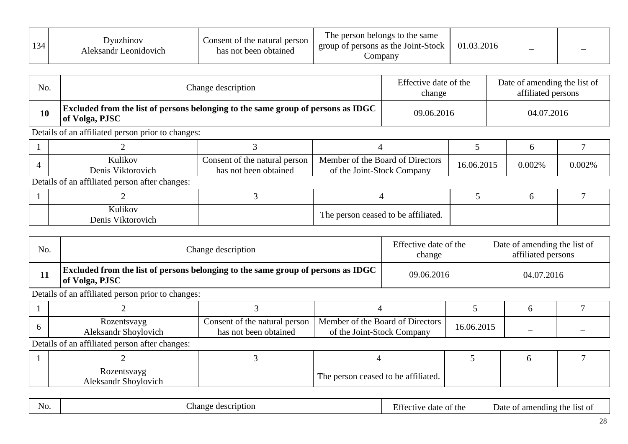| 134 | Jvuzhinov<br>Aleksandr Leonidovich | Consent of the natural person<br>has not been obtained | The person belongs to the same<br>group of persons as the Joint-Stock<br>Company | 03.2016<br>$\Omega$ | - |  |
|-----|------------------------------------|--------------------------------------------------------|----------------------------------------------------------------------------------|---------------------|---|--|
|-----|------------------------------------|--------------------------------------------------------|----------------------------------------------------------------------------------|---------------------|---|--|

| No. | Change description                                                                                        | Effective date of the<br>change | Date of amending the list of<br>affiliated persons |
|-----|-----------------------------------------------------------------------------------------------------------|---------------------------------|----------------------------------------------------|
| 10  | <b>Excluded from the list of persons belonging to the same group of persons as IDGC</b><br>of Volga, PJSC | 09.06.2016                      | 04.07.2016                                         |

| Kulikov<br>Denis Viktorovich | Consent of the natural person<br>has not been obtained | Member of the Board of Directors<br>of the Joint-Stock Company | 6.06.2015 | 0.002% | $0.002\%$ |
|------------------------------|--------------------------------------------------------|----------------------------------------------------------------|-----------|--------|-----------|

Details of an affiliated person after changes:

| Kulikov<br>T T<br>Denis<br>V <sub>1</sub> ktorovich | The person ceased to be affiliated. |  |  |
|-----------------------------------------------------|-------------------------------------|--|--|

| No. | Change description                                                                                        | Effective date of the<br>change | Date of amending the list of<br>affiliated persons |
|-----|-----------------------------------------------------------------------------------------------------------|---------------------------------|----------------------------------------------------|
|     | <b>Excluded from the list of persons belonging to the same group of persons as IDGC</b><br>of Volga, PJSC | 09.06.2016                      | 04.07.2016                                         |

Details of an affiliated person prior to changes:

| Rozentsvayg<br>Aleksandr Shoylovich | Consent of the natural person<br>has not been obtained | <sup>1</sup> Member of the Board of Directors<br>of the Joint-Stock Company | 16.06.2015 |  |
|-------------------------------------|--------------------------------------------------------|-----------------------------------------------------------------------------|------------|--|

| Rozentsvayg<br>Aleksandr Shoylovich | The person ceased to be affiliated. |  |  |
|-------------------------------------|-------------------------------------|--|--|

| N <sub>0</sub> | ∼<br>nan<br>`Cr1Dt10n<br>. | $ \sim$<br>™ tnc<br>uait<br>$\mathbf{v}$ | th<br>ame<br>ndın<br>-11St<br>Jate |
|----------------|----------------------------|------------------------------------------|------------------------------------|
|                |                            |                                          |                                    |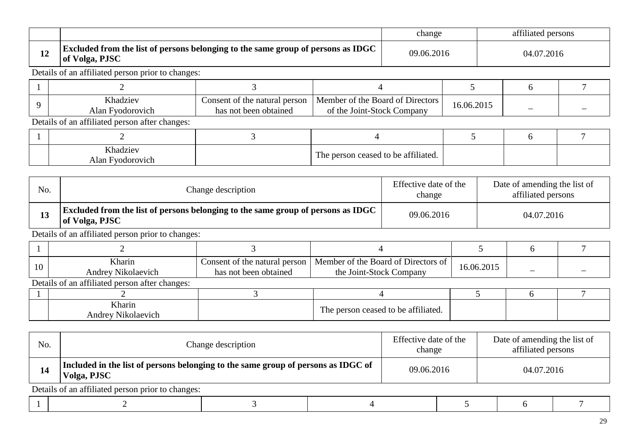|   |                                                                                                           | change     | affiliated persons |
|---|-----------------------------------------------------------------------------------------------------------|------------|--------------------|
| ┸ | <b>Excluded from the list of persons belonging to the same group of persons as IDGC</b><br>of Volga, PJSC | 09.06.2016 | 04.07.2016         |

| <b>Khadziev</b><br>Alan<br>Fyodorovich | Consent of the natural person<br>has not been obtained | Member of the Board of Directors<br>of the Joint-Stock Company | 16.06.2015 |  |
|----------------------------------------|--------------------------------------------------------|----------------------------------------------------------------|------------|--|

Details of an affiliated person after changes:

| Khadziev<br>Alan<br>Hyodorovich | r ceased to be affiliated.<br>ments.<br>person<br>1 <sub>ne</sub> |  |  |
|---------------------------------|-------------------------------------------------------------------|--|--|

| No. | Change description                                                                                        | Effective date of the<br>change | Date of amending the list of<br>affiliated persons |
|-----|-----------------------------------------------------------------------------------------------------------|---------------------------------|----------------------------------------------------|
| 13  | <b>Excluded from the list of persons belonging to the same group of persons as IDGC</b><br>of Volga, PJSC | 09.06.2016                      | 04.07.2016                                         |

| 10 | Kharin<br><b>Andrey Nikolaevich</b>            | Consent of the natural person<br>has not been obtained | Member of the Board of Directors of<br>the Joint-Stock Company | 16.06.2015 |  |
|----|------------------------------------------------|--------------------------------------------------------|----------------------------------------------------------------|------------|--|
|    | Details of an affiliated person after changes: |                                                        |                                                                |            |  |
|    |                                                |                                                        |                                                                |            |  |
|    | Kharin<br>Andrey Nikolaevich                   |                                                        | The person ceased to be affiliated.                            |            |  |

| No. | Change description                                                                               |  | Effective date of the<br>change |  | Date of amending the list of<br>affiliated persons |  |  |
|-----|--------------------------------------------------------------------------------------------------|--|---------------------------------|--|----------------------------------------------------|--|--|
| 14  | Included in the list of persons belonging to the same group of persons as IDGC of<br>Volga, PJSC |  | 09.06.2016                      |  | 04.07.2016                                         |  |  |
|     | Details of an affiliated person prior to changes:                                                |  |                                 |  |                                                    |  |  |
|     |                                                                                                  |  |                                 |  |                                                    |  |  |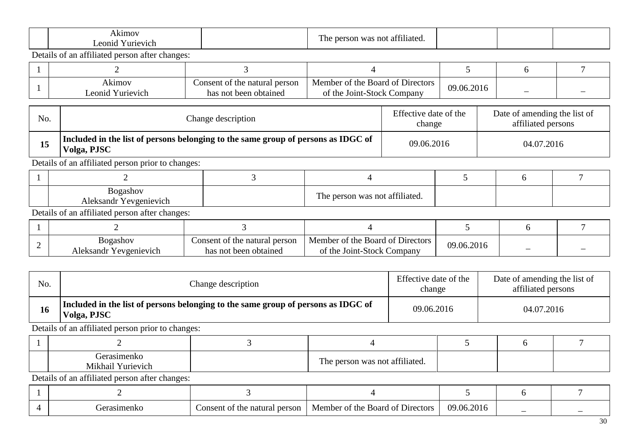| k <sub>1</sub> mov    | 20111                                                         |  |  |
|-----------------------|---------------------------------------------------------------|--|--|
| eonid<br>uriev<br>1CP | aliate⁄<br>'SOL<br>nc<br>r 1 6<br>41 I<br>$\sim$ IIV<br>vv 11 |  |  |

| Akımov             | Consent of the natural person | Member of the Board of Directors | 09.06.2016 |   |  |
|--------------------|-------------------------------|----------------------------------|------------|---|--|
| Yurievich<br>eonid | has not been obtained         | of the Joint-Stock Company       |            | _ |  |

| No.                                    | Change description                                                                               | Effective date of the<br>change | Date of amending the list of<br>affiliated persons |
|----------------------------------------|--------------------------------------------------------------------------------------------------|---------------------------------|----------------------------------------------------|
| 15                                     | Included in the list of persons belonging to the same group of persons as IDGC of<br>Volga, PJSC | 09.06.2016                      | 04.07.2016                                         |
| $\mathbf{r}$ $\mathbf{r}$ $\mathbf{r}$ | $0.0111 \pm 1.1$                                                                                 |                                 |                                                    |

Details of an affiliated person prior to changes:

| ogashov<br>ມ∪<br>Yevgenievich<br>Aleksandr Y | cc.<br>---<br>attiliated.<br>was not<br>ner<br>u ne |  |  |
|----------------------------------------------|-----------------------------------------------------|--|--|

Details of an affiliated person after changes:

| Bogashov<br>Aleksandr Yevgenievich | Consent of the natural person<br>has not been obtained | Member of the Board of Directors<br>of the Joint-Stock Company | 09.06.2016 |  |
|------------------------------------|--------------------------------------------------------|----------------------------------------------------------------|------------|--|

| No. | Change description                                                                                             |  | Effective date of the<br>change |            | Date of amending the list of<br>affiliated persons |  |  |
|-----|----------------------------------------------------------------------------------------------------------------|--|---------------------------------|------------|----------------------------------------------------|--|--|
| 16  | Included in the list of persons belonging to the same group of persons as IDGC of<br>09.06.2016<br>Volga, PJSC |  |                                 | 04.07.2016 |                                                    |  |  |
|     | Details of an affiliated person prior to changes:                                                              |  |                                 |            |                                                    |  |  |
|     |                                                                                                                |  |                                 |            |                                                    |  |  |

| Mikhail<br>í urievich | <b>BOILE</b><br>--<br>' not affiliated.<br>. ne<br>was<br>son |  |  |
|-----------------------|---------------------------------------------------------------|--|--|

|  | natural<br>`onsen<br>person<br>∵fht<br>nt. | $\sim$<br>Member of the<br>- Boarc<br>. ot<br>Directors | 201.<br>09.06 | _ |  |
|--|--------------------------------------------|---------------------------------------------------------|---------------|---|--|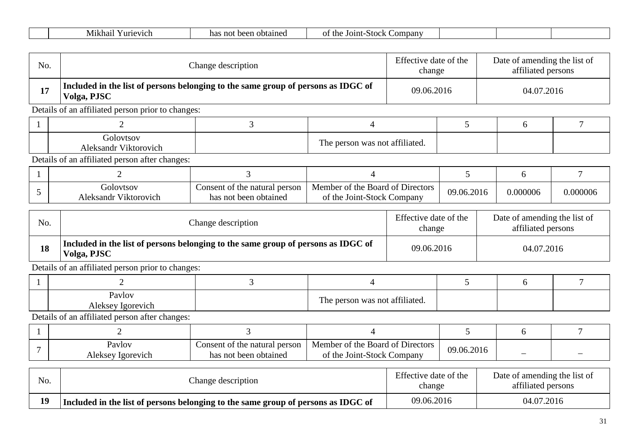| . .<br>. fhւ<br>$\mathcal{L}$ ompany<br>Mikhai<br>Y urievich<br>Joint<br>ha<br>obtained<br>Stoc<br>beet<br>not<br>יר |  |
|----------------------------------------------------------------------------------------------------------------------|--|
|----------------------------------------------------------------------------------------------------------------------|--|

| No. | Change description                                                                               |                                                        |                                                                | Effective date of the<br>change |            | Date of amending the list of<br>affiliated persons |          |  |
|-----|--------------------------------------------------------------------------------------------------|--------------------------------------------------------|----------------------------------------------------------------|---------------------------------|------------|----------------------------------------------------|----------|--|
| 17  | Included in the list of persons belonging to the same group of persons as IDGC of<br>Volga, PJSC |                                                        |                                                                | 09.06.2016                      |            | 04.07.2016                                         |          |  |
|     | Details of an affiliated person prior to changes:                                                |                                                        |                                                                |                                 |            |                                                    |          |  |
|     |                                                                                                  |                                                        |                                                                |                                 |            | 6                                                  |          |  |
|     | Golovtsov<br>Aleksandr Viktorovich                                                               |                                                        | The person was not affiliated.                                 |                                 |            |                                                    |          |  |
|     | Details of an affiliated person after changes:                                                   |                                                        |                                                                |                                 |            |                                                    |          |  |
|     |                                                                                                  |                                                        |                                                                |                                 |            | 6                                                  |          |  |
|     | Golovtsov<br>Aleksandr Viktorovich                                                               | Consent of the natural person<br>has not been obtained | Member of the Board of Directors<br>of the Joint-Stock Company |                                 | 09.06.2016 | 0.000006                                           | 0.000006 |  |

| No. | Change description                                                                               | Effective date of the<br>change | Date of amending the list of<br>affiliated persons |
|-----|--------------------------------------------------------------------------------------------------|---------------------------------|----------------------------------------------------|
| 18  | Included in the list of persons belonging to the same group of persons as IDGC of<br>Volga, PJSC | 09.06.2016                      | 04.07.2016                                         |

| Pavlov<br>Aleksey Igorevich | CC 11<br>m<br>The person was not affiliated. |  |  |
|-----------------------------|----------------------------------------------|--|--|

| Pavlov<br>Aleksey Igorevich | Consent of the natural person<br>has not been obtained | Member of the Board of Directors<br>of the Joint-Stock Company | 09.06.2016 | $\overline{\phantom{a}}$ |  |
|-----------------------------|--------------------------------------------------------|----------------------------------------------------------------|------------|--------------------------|--|

| No. | Change description                                                                | Effective date of the<br>change | Date of amending the list of<br>affiliated persons |
|-----|-----------------------------------------------------------------------------------|---------------------------------|----------------------------------------------------|
| 19  | Included in the list of persons belonging to the same group of persons as IDGC of | 09.06.2016                      | 04.07.2016                                         |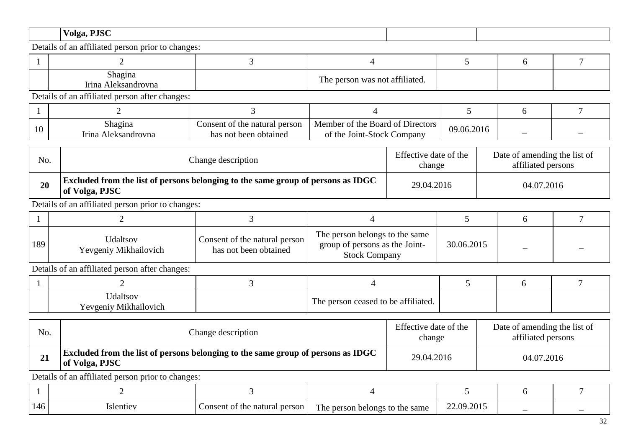| Volga, PJSC<br><u>.</u> |  |
|-------------------------|--|
|                         |  |

| Shagina<br>Irina<br><b>Aleksandrovna</b> | <b>COM</b><br>e person was not affiliated.<br>r ne- |  |  |
|------------------------------------------|-----------------------------------------------------|--|--|

Details of an affiliated person after changes:

| 1 V | n 1<br>Shagina<br><b>Aleksandrovna</b><br>Irına | natural person<br>:onsent<br>: of the<br>t been obtained<br>n ∩ t<br>has | of Directors<br>Member of the Board<br>-Stock<br>Joint-<br>Company<br>the<br>ΟÌ | 09.06.2016 |  |
|-----|-------------------------------------------------|--------------------------------------------------------------------------|---------------------------------------------------------------------------------|------------|--|

| No. | Change description                                                                                        | Effective date of the<br>change | Date of amending the list of<br>affiliated persons |
|-----|-----------------------------------------------------------------------------------------------------------|---------------------------------|----------------------------------------------------|
| 20  | <b>Excluded from the list of persons belonging to the same group of persons as IDGC</b><br>of Volga, PJSC | 29.04.2016                      | 04.07.2016                                         |

Details of an affiliated person prior to changes:

| 189 | <b>Udaltsov</b><br>Yevgeniy Mikhailovich | Consent of the natural person<br>has not been obtained | The person belongs to the same<br>group of persons as the Joint-<br><b>Stock Company</b> | 30.06.2015 |  |
|-----|------------------------------------------|--------------------------------------------------------|------------------------------------------------------------------------------------------|------------|--|

Details of an affiliated person after changes:

| <b>J</b> daltsov<br>Yevgeniy Mikhailovich | The person ceased to be affiliated. |  |  |
|-------------------------------------------|-------------------------------------|--|--|

| No. | Change description                                                                                        | Effective date of the<br>change | Date of amending the list of<br>affiliated persons |
|-----|-----------------------------------------------------------------------------------------------------------|---------------------------------|----------------------------------------------------|
| 21  | <b>Excluded from the list of persons belonging to the same group of persons as IDGC</b><br>of Volga, PJSC | 29.04.2016                      | 04.07.2016                                         |

| 146 | Islentiev | onsent of the<br>e natural<br>person | The person<br>n belongs to the same | 22.09.2015 | - | _ |
|-----|-----------|--------------------------------------|-------------------------------------|------------|---|---|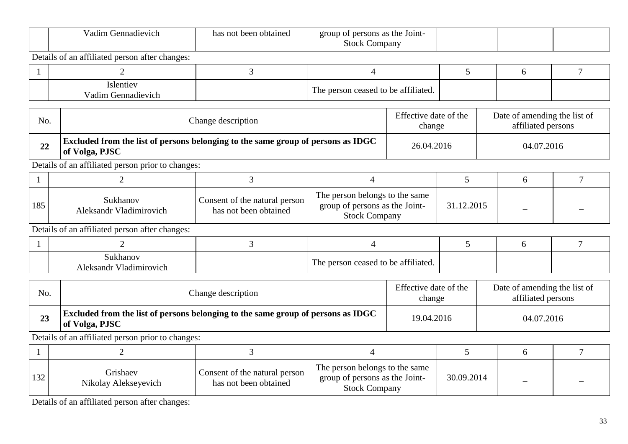|              | Vadim Gennadievich                                                                                 | has not been obtained                                                            | group of persons as the Joint-<br><b>Stock Company</b>                                   |                                 |                                                    |  |                    |                              |  |
|--------------|----------------------------------------------------------------------------------------------------|----------------------------------------------------------------------------------|------------------------------------------------------------------------------------------|---------------------------------|----------------------------------------------------|--|--------------------|------------------------------|--|
|              | Details of an affiliated person after changes:                                                     |                                                                                  |                                                                                          |                                 |                                                    |  |                    |                              |  |
|              | $\overline{2}$                                                                                     | 3                                                                                | $\overline{4}$                                                                           |                                 | 5                                                  |  | 6                  | $\overline{7}$               |  |
|              | Islentiev<br>Vadim Gennadievich                                                                    |                                                                                  | The person ceased to be affiliated.                                                      |                                 |                                                    |  |                    |                              |  |
| No.          |                                                                                                    | Change description                                                               |                                                                                          | Effective date of the<br>change | Date of amending the list of<br>affiliated persons |  |                    |                              |  |
| 22           | Excluded from the list of persons belonging to the same group of persons as IDGC<br>of Volga, PJSC |                                                                                  |                                                                                          | 26.04.2016                      |                                                    |  | 04.07.2016         |                              |  |
|              | Details of an affiliated person prior to changes:                                                  |                                                                                  |                                                                                          |                                 |                                                    |  |                    |                              |  |
| 1            | 2                                                                                                  | 3                                                                                | 4                                                                                        |                                 | 5                                                  |  | 6                  | 7                            |  |
| 185          | Sukhanov<br>Aleksandr Vladimirovich                                                                | Consent of the natural person<br>has not been obtained                           | The person belongs to the same<br>group of persons as the Joint-<br><b>Stock Company</b> |                                 | 31.12.2015                                         |  |                    |                              |  |
|              | Details of an affiliated person after changes:                                                     |                                                                                  |                                                                                          |                                 |                                                    |  |                    |                              |  |
|              | $\overline{2}$                                                                                     | 3                                                                                | 4                                                                                        |                                 | 5                                                  |  | 6                  | $\overline{7}$               |  |
|              | Sukhanov<br>Aleksandr Vladimirovich                                                                |                                                                                  | The person ceased to be affiliated.                                                      |                                 |                                                    |  |                    |                              |  |
| No.          |                                                                                                    | Change description                                                               |                                                                                          | Effective date of the<br>change |                                                    |  | affiliated persons | Date of amending the list of |  |
| 23           | of Volga, PJSC                                                                                     | Excluded from the list of persons belonging to the same group of persons as IDGC |                                                                                          |                                 | 19.04.2016                                         |  | 04.07.2016         |                              |  |
|              | Details of an affiliated person prior to changes:                                                  |                                                                                  |                                                                                          |                                 |                                                    |  |                    |                              |  |
| $\mathbf{1}$ | $\overline{2}$                                                                                     | 3                                                                                | $\overline{4}$                                                                           |                                 | 5                                                  |  | 6                  | 7                            |  |
| 132          | Grishaev<br>Nikolay Alekseyevich                                                                   | Consent of the natural person<br>has not been obtained                           | The person belongs to the same<br>group of persons as the Joint-<br><b>Stock Company</b> |                                 | 30.09.2014                                         |  |                    |                              |  |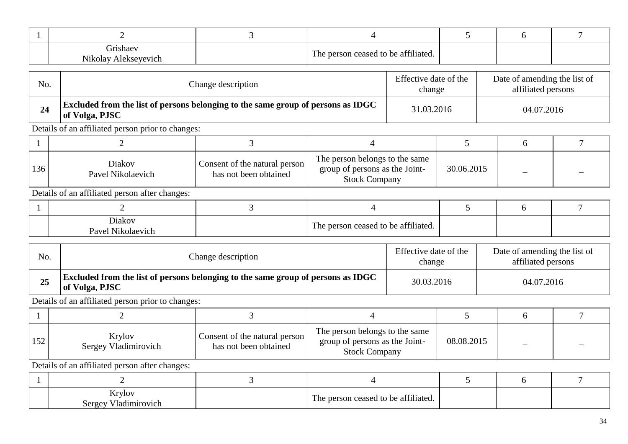| <b><i>drishaev</i></b><br>Nikolay Alekseyevich | The person ceased to be affiliated. |  |  |
|------------------------------------------------|-------------------------------------|--|--|

| No. | Change description                                                                                        | Effective date of the<br>change | Date of amending the list of<br>affiliated persons |
|-----|-----------------------------------------------------------------------------------------------------------|---------------------------------|----------------------------------------------------|
| 24  | <b>Excluded from the list of persons belonging to the same group of persons as IDGC</b><br>of Volga, PJSC | 31.03.2016                      | 04.07.2016                                         |

| 136 | Diakov<br>Pavel Nikolaevich | Consent of the natural person<br>has not been obtained | The person belongs to the same<br>group of persons as the Joint-<br><b>Stock Company</b> | 30.06.2015 |  |
|-----|-----------------------------|--------------------------------------------------------|------------------------------------------------------------------------------------------|------------|--|

Details of an affiliated person after changes:

| Diakov<br>Pavel<br>Nikolaevich | The person ceased to be affiliated. |  |  |
|--------------------------------|-------------------------------------|--|--|

| No. | Change description                                                                                        | Effective date of the<br>change | Date of amending the list of<br>affiliated persons |
|-----|-----------------------------------------------------------------------------------------------------------|---------------------------------|----------------------------------------------------|
| 25  | <b>Excluded from the list of persons belonging to the same group of persons as IDGC</b><br>of Volga, PJSC | 30.03.2016                      | 04.07.2016                                         |

Details of an affiliated person prior to changes:

| 152 | Krylov<br>Sergey Vladimirovich | Consent of the natural person  <br>has not been obtained | The person belongs to the same<br>group of persons as the Joint-<br><b>Stock Company</b> | 08.08.2015 |  |
|-----|--------------------------------|----------------------------------------------------------|------------------------------------------------------------------------------------------|------------|--|

| Krylov<br>Sergey Vladimirovich | The person ceased to be affiliated. |  |  |
|--------------------------------|-------------------------------------|--|--|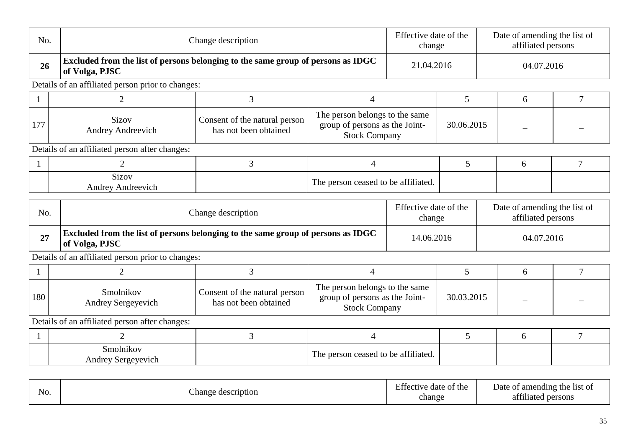| No.          |                                                                                                    | Change description                                     |                                                                                          | Effective date of the<br>change |            | Date of amending the list of<br>affiliated persons |   |                |
|--------------|----------------------------------------------------------------------------------------------------|--------------------------------------------------------|------------------------------------------------------------------------------------------|---------------------------------|------------|----------------------------------------------------|---|----------------|
| 26           | Excluded from the list of persons belonging to the same group of persons as IDGC<br>of Volga, PJSC |                                                        |                                                                                          | 21.04.2016                      |            | 04.07.2016                                         |   |                |
|              | Details of an affiliated person prior to changes:                                                  |                                                        |                                                                                          |                                 |            |                                                    |   |                |
| $\mathbf{1}$ | 3<br>$\overline{2}$<br>4                                                                           |                                                        |                                                                                          |                                 | 5          |                                                    | 6 | 7              |
| 177          | <b>Sizov</b><br><b>Andrey Andreevich</b>                                                           | Consent of the natural person<br>has not been obtained | The person belongs to the same<br>group of persons as the Joint-<br><b>Stock Company</b> |                                 | 30.06.2015 |                                                    |   |                |
|              | Details of an affiliated person after changes:                                                     |                                                        |                                                                                          |                                 |            |                                                    |   |                |
| $\mathbf{1}$ | $\overline{2}$                                                                                     | 3                                                      | $\overline{4}$                                                                           |                                 | 5          |                                                    | 6 | $\tau$         |
|              | Sizov<br>Andrey Andreevich                                                                         |                                                        | The person ceased to be affiliated.                                                      |                                 |            |                                                    |   |                |
| No.          |                                                                                                    | Change description                                     |                                                                                          | Effective date of the<br>change |            | Date of amending the list of<br>affiliated persons |   |                |
| 27           | Excluded from the list of persons belonging to the same group of persons as IDGC<br>of Volga, PJSC |                                                        |                                                                                          | 14.06.2016                      | 04.07.2016 |                                                    |   |                |
|              | Details of an affiliated person prior to changes:                                                  |                                                        |                                                                                          |                                 |            |                                                    |   |                |
|              | 2                                                                                                  | 3                                                      | $\overline{4}$                                                                           |                                 | 5          |                                                    | 6 | $\overline{7}$ |
| 180          | Smolnikov<br>Andrey Sergeyevich                                                                    | Consent of the natural person<br>has not been obtained | The person belongs to the same<br>group of persons as the Joint-<br><b>Stock Company</b> |                                 | 30.03.2015 |                                                    |   |                |
|              | Details of an affiliated person after changes:                                                     |                                                        |                                                                                          |                                 |            |                                                    |   |                |
| $\mathbf{1}$ | $\overline{2}$                                                                                     | 3                                                      | $\overline{4}$                                                                           |                                 | 5          |                                                    | 6 | $\overline{7}$ |
|              | Smolnikov<br>Andrey Sergeyevich                                                                    |                                                        | The person ceased to be affiliated.                                                      |                                 |            |                                                    |   |                |

| $\mathbf{v}$<br>N <sub>O</sub> . | ;cription<br>hange<br>ae. | date of the<br>.tte<br>11170<br>chang<br><u>ل</u> ى مە | f amending the<br>-list of<br>Jate<br>OT.<br>0.011<br>persons<br>-l1at |
|----------------------------------|---------------------------|--------------------------------------------------------|------------------------------------------------------------------------|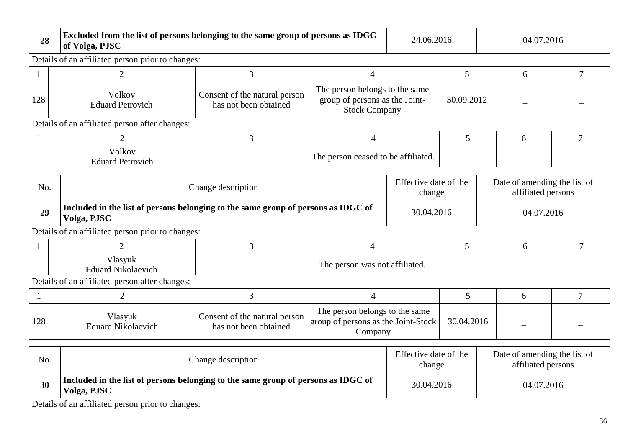| 28           | of Volga, PJSC                                                                                   | Excluded from the list of persons belonging to the same group of persons as IDGC |                                                                                          |                                                    |                          | 04.07.2016                                         |            |                |  |
|--------------|--------------------------------------------------------------------------------------------------|----------------------------------------------------------------------------------|------------------------------------------------------------------------------------------|----------------------------------------------------|--------------------------|----------------------------------------------------|------------|----------------|--|
|              | Details of an affiliated person prior to changes:                                                |                                                                                  |                                                                                          |                                                    |                          |                                                    |            |                |  |
| $\mathbf{1}$ | $\overline{2}$                                                                                   | 3                                                                                | $\overline{4}$                                                                           |                                                    | 5                        |                                                    | 6          | 7              |  |
| 128          | Volkov<br><b>Eduard Petrovich</b>                                                                | Consent of the natural person<br>has not been obtained                           | The person belongs to the same<br>group of persons as the Joint-<br><b>Stock Company</b> |                                                    | 30.09.2012               |                                                    |            |                |  |
|              | Details of an affiliated person after changes:                                                   |                                                                                  |                                                                                          |                                                    |                          |                                                    |            |                |  |
|              | 2                                                                                                | 3                                                                                | $\overline{4}$                                                                           |                                                    | 5                        |                                                    | 6          | $\overline{7}$ |  |
|              | Volkov<br>The person ceased to be affiliated.<br><b>Eduard Petrovich</b>                         |                                                                                  |                                                                                          |                                                    |                          |                                                    |            |                |  |
| No.          | Change description                                                                               |                                                                                  | Effective date of the<br>change                                                          | Date of amending the list of<br>affiliated persons |                          |                                                    |            |                |  |
| 29           | Included in the list of persons belonging to the same group of persons as IDGC of<br>Volga, PJSC |                                                                                  |                                                                                          |                                                    | 30.04.2016<br>04.07.2016 |                                                    |            |                |  |
|              | Details of an affiliated person prior to changes:                                                |                                                                                  |                                                                                          |                                                    |                          |                                                    |            |                |  |
|              | $\overline{2}$                                                                                   | 3                                                                                | $\overline{4}$                                                                           |                                                    | 5                        |                                                    | 6          | $\overline{7}$ |  |
|              | Vlasyuk<br><b>Eduard Nikolaevich</b>                                                             |                                                                                  | The person was not affiliated.                                                           |                                                    |                          |                                                    |            |                |  |
|              | Details of an affiliated person after changes:                                                   |                                                                                  |                                                                                          |                                                    |                          |                                                    |            |                |  |
|              | 2                                                                                                | 3                                                                                | $\overline{4}$                                                                           |                                                    | 5                        |                                                    | 6          | $\overline{7}$ |  |
| 128          | Vlasyuk<br><b>Eduard Nikolaevich</b>                                                             | Consent of the natural person<br>has not been obtained                           | The person belongs to the same<br>group of persons as the Joint-Stock<br>Company         |                                                    | 30.04.2016               |                                                    |            |                |  |
| No.          | Change description                                                                               |                                                                                  |                                                                                          | Effective date of the<br>change                    |                          | Date of amending the list of<br>affiliated persons |            |                |  |
| 30           | Included in the list of persons belonging to the same group of persons as IDGC of<br>Volga, PJSC |                                                                                  |                                                                                          | 30.04.2016                                         |                          |                                                    | 04.07.2016 |                |  |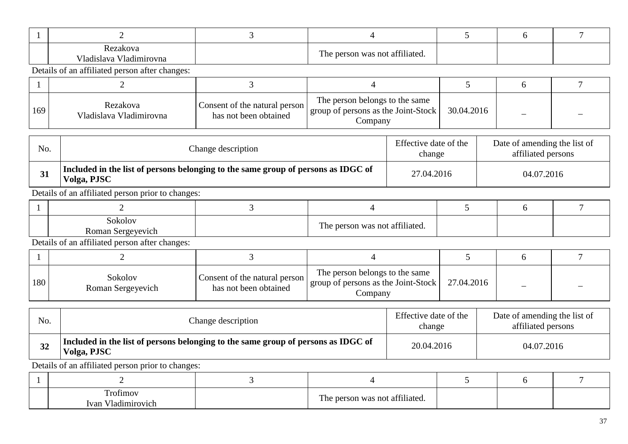| Rezakova<br>Vladislava Vladimirovna | The person was not affiliated. |  |  |
|-------------------------------------|--------------------------------|--|--|

| 169 | Rezakova<br>Vladislava Vladimirovna | Consent of the natural person<br>has not been obtained | The person belongs to the same<br>group of persons as the Joint-Stock<br>Company | 30.04.2016 |  |
|-----|-------------------------------------|--------------------------------------------------------|----------------------------------------------------------------------------------|------------|--|

| No. | Change description                                                                               | Effective date of the<br>change | Date of amending the list of<br>affiliated persons |
|-----|--------------------------------------------------------------------------------------------------|---------------------------------|----------------------------------------------------|
| 31  | Included in the list of persons belonging to the same group of persons as IDGC of<br>Volga, PJSC | 27.04.2016                      | 04.07.2016                                         |

Details of an affiliated person prior to changes:

| Sokolov<br>Roman Sergeyevich | 20011<br>The person was not affiliated. |  |  |
|------------------------------|-----------------------------------------|--|--|

Details of an affiliated person after changes:

| 180 | Sokolov<br>Roman Sergeyevich | Consent of the natural person<br>has not been obtained | The person belongs to the same<br>group of persons as the Joint-Stock<br>Company | 27.04.2016 |  |
|-----|------------------------------|--------------------------------------------------------|----------------------------------------------------------------------------------|------------|--|

| No. | Change description                                                                               | Effective date of the<br>change | Date of amending the list of<br>affiliated persons |
|-----|--------------------------------------------------------------------------------------------------|---------------------------------|----------------------------------------------------|
| 32  | Included in the list of persons belonging to the same group of persons as IDGC of<br>Volga, PJSC | 20.04.2016                      | 04.07.2016                                         |

| <b></b><br>rofimov<br>T 71<br>Ivan<br>Jadimirovich | 0.011<br>Ē<br>referson was not affiliated.<br>$\blacksquare$ IIC. |  |  |
|----------------------------------------------------|-------------------------------------------------------------------|--|--|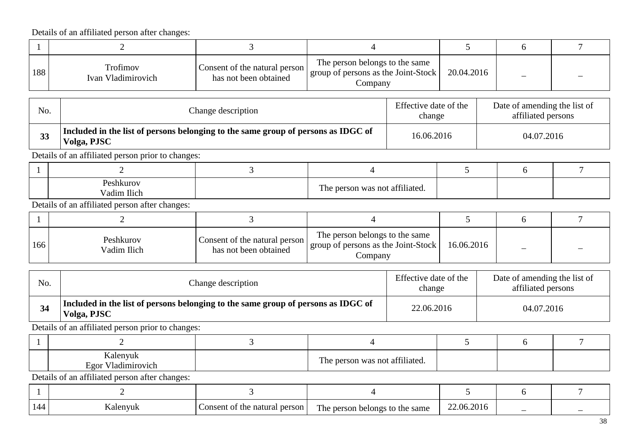|     | Details of an affiliated person after changes:                                                   |                                                        |                                                                                  |                                 |                                                    |            |                |
|-----|--------------------------------------------------------------------------------------------------|--------------------------------------------------------|----------------------------------------------------------------------------------|---------------------------------|----------------------------------------------------|------------|----------------|
|     | $\overline{2}$                                                                                   | $\overline{3}$                                         | $\overline{4}$                                                                   |                                 | 5                                                  | 6          | $\overline{7}$ |
| 188 | Trofimov<br>Ivan Vladimirovich                                                                   | Consent of the natural person<br>has not been obtained | The person belongs to the same<br>group of persons as the Joint-Stock<br>Company |                                 | 20.04.2016                                         |            |                |
| No. |                                                                                                  | Change description                                     |                                                                                  | Effective date of the<br>change | Date of amending the list of<br>affiliated persons |            |                |
| 33  | Included in the list of persons belonging to the same group of persons as IDGC of<br>Volga, PJSC | 16.06.2016                                             |                                                                                  | 04.07.2016                      |                                                    |            |                |
|     | Details of an affiliated person prior to changes:                                                |                                                        |                                                                                  |                                 |                                                    |            |                |
|     | $\overline{2}$                                                                                   | 3                                                      | $\overline{4}$                                                                   |                                 | 5                                                  | 6          | $\overline{7}$ |
|     | Peshkurov<br>Vadim Ilich                                                                         |                                                        | The person was not affiliated.                                                   |                                 |                                                    |            |                |
|     | Details of an affiliated person after changes:                                                   |                                                        |                                                                                  |                                 |                                                    |            |                |
|     | $\overline{2}$                                                                                   | $\overline{3}$                                         | $\overline{4}$                                                                   |                                 | 5                                                  | 6          | $\overline{7}$ |
| 166 | Peshkurov<br>Vadim Ilich                                                                         | Consent of the natural person<br>has not been obtained | The person belongs to the same<br>group of persons as the Joint-Stock<br>Company |                                 | 16.06.2016                                         |            |                |
| No. |                                                                                                  | Change description                                     |                                                                                  | Effective date of the<br>change | Date of amending the list of<br>affiliated persons |            |                |
| 34  | Included in the list of persons belonging to the same group of persons as IDGC of<br>Volga, PJSC |                                                        |                                                                                  | 22.06.2016                      |                                                    | 04.07.2016 |                |
|     | Details of an affiliated person prior to changes:                                                |                                                        |                                                                                  |                                 |                                                    |            |                |
|     | $\overline{2}$                                                                                   | 3                                                      | $\overline{4}$                                                                   |                                 | 5                                                  | 6          | 7              |
|     | Kalenyuk<br>Egor Vladimirovich                                                                   |                                                        | The person was not affiliated.                                                   |                                 |                                                    |            |                |
|     | Details of an affiliated person after changes:                                                   |                                                        |                                                                                  |                                 |                                                    |            |                |
|     | $\overline{2}$                                                                                   | 3                                                      | $\overline{4}$                                                                   |                                 | 5                                                  | 6          | $\overline{7}$ |

| LЛ. | 'envu.<br>NAI | person<br>.onse<br>`ent-<br>natural<br>* th⊾ | ---<br>same<br>`the<br>persor<br>belongs<br>1 he | $\sim$ $\sim$ $\sim$<br>2.06.20°<br>71 11 |  |
|-----|---------------|----------------------------------------------|--------------------------------------------------|-------------------------------------------|--|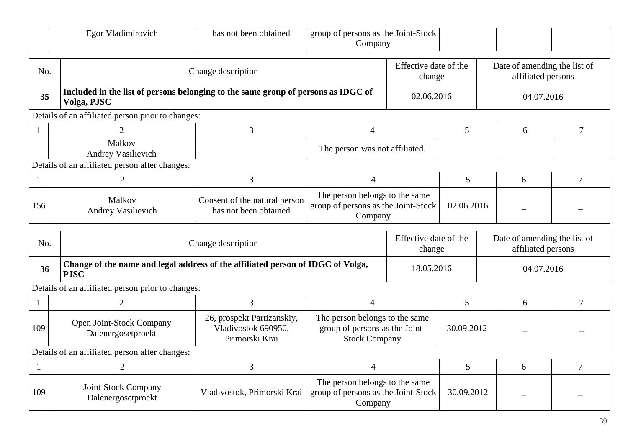|     | Egor Vladimirovich                                                                             | has not been obtained                                                             | group of persons as the Joint-Stock<br>Company                                   |                                 |                 |                                                    |                |
|-----|------------------------------------------------------------------------------------------------|-----------------------------------------------------------------------------------|----------------------------------------------------------------------------------|---------------------------------|-----------------|----------------------------------------------------|----------------|
| No. |                                                                                                | Change description                                                                |                                                                                  | Effective date of the<br>change |                 | Date of amending the list of<br>affiliated persons |                |
| 35  | Volga, PJSC                                                                                    | Included in the list of persons belonging to the same group of persons as IDGC of |                                                                                  |                                 | 02.06.2016      | 04.07.2016                                         |                |
|     | Details of an affiliated person prior to changes:                                              |                                                                                   |                                                                                  |                                 |                 |                                                    |                |
|     | 2                                                                                              | 3                                                                                 | 4                                                                                |                                 | $5\overline{)}$ | 6                                                  | $\overline{7}$ |
|     | Malkov<br><b>Andrey Vasilievich</b>                                                            |                                                                                   | The person was not affiliated.                                                   |                                 |                 |                                                    |                |
|     | Details of an affiliated person after changes:                                                 |                                                                                   |                                                                                  |                                 |                 |                                                    |                |
|     | $\overline{2}$                                                                                 | 3                                                                                 | $\overline{4}$                                                                   |                                 | 5               | 6                                                  | 7              |
| 156 | Malkov<br>Andrey Vasilievich                                                                   | Consent of the natural person<br>has not been obtained                            | The person belongs to the same<br>group of persons as the Joint-Stock<br>Company |                                 | 02.06.2016      |                                                    |                |
| No. |                                                                                                | Change description                                                                |                                                                                  | Effective date of the<br>change |                 | Date of amending the list of<br>affiliated persons |                |
| 36  | Change of the name and legal address of the affiliated person of IDGC of Volga,<br><b>PJSC</b> |                                                                                   |                                                                                  | 18.05.2016                      |                 | 04.07.2016                                         |                |
|     | Details of an affiliated person prior to changes:                                              |                                                                                   |                                                                                  |                                 |                 |                                                    |                |
|     | $\overline{2}$                                                                                 | 3                                                                                 | 4                                                                                |                                 | 5               | 6                                                  | 7              |
| 109 | Open Joint-Stock Company<br>$D_{\alpha}$ $a_{\alpha}$                                          | 26, prospekt Partizanskiy,<br>Vladivostok 690950,                                 | The person belongs to the same<br>group of persons as the Joint-                 |                                 | 30.09.2012      |                                                    |                |

Dalenergosetproekt

| 109 | Joint-Stock Company<br>Dalenergosetproekt | The person belongs to the same<br>Vladivostok, Primorski Krai   group of persons as the Joint-Stock  <br>Company | 30.09.2012 |  |
|-----|-------------------------------------------|------------------------------------------------------------------------------------------------------------------|------------|--|

group of persons as the Joint-Stock Company

Vladivostok 690950, Primorski Krai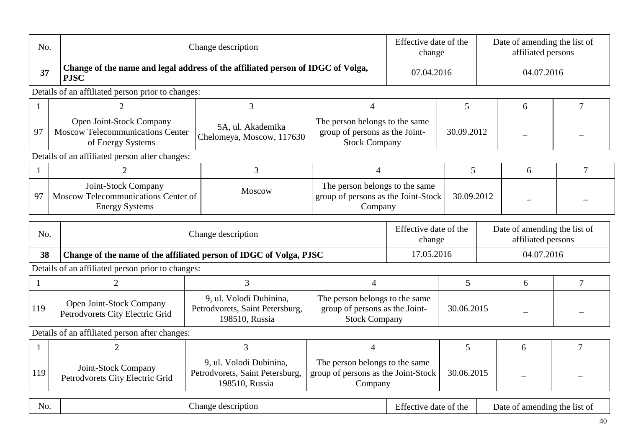| No.          |                                                                                                | Change description                                                           |                                                                                          |                       | Effective date of the<br>change                                                       | Date of amending the list of<br>affiliated persons |                              |                |
|--------------|------------------------------------------------------------------------------------------------|------------------------------------------------------------------------------|------------------------------------------------------------------------------------------|-----------------------|---------------------------------------------------------------------------------------|----------------------------------------------------|------------------------------|----------------|
| 37           | Change of the name and legal address of the affiliated person of IDGC of Volga,<br><b>PJSC</b> |                                                                              |                                                                                          | 07.04.2016            |                                                                                       |                                                    | 04.07.2016                   |                |
|              | Details of an affiliated person prior to changes:                                              |                                                                              |                                                                                          |                       |                                                                                       |                                                    |                              |                |
|              | $\overline{2}$                                                                                 | 3                                                                            | $\overline{4}$                                                                           |                       | 5                                                                                     |                                                    | 6                            | $\overline{7}$ |
| 97           | Open Joint-Stock Company<br><b>Moscow Telecommunications Center</b><br>of Energy Systems       | 5A, ul. Akademika<br>Chelomeya, Moscow, 117630                               | The person belongs to the same<br>group of persons as the Joint-<br><b>Stock Company</b> |                       | 30.09.2012                                                                            |                                                    |                              |                |
|              | Details of an affiliated person after changes:                                                 |                                                                              |                                                                                          |                       |                                                                                       |                                                    |                              |                |
|              | $\overline{2}$                                                                                 | 3                                                                            | 4                                                                                        |                       | $5\overline{)}$                                                                       |                                                    | 6                            | $\overline{7}$ |
| 97           | Joint-Stock Company<br>Moscow Telecommunications Center of<br><b>Energy Systems</b>            | Moscow                                                                       | The person belongs to the same<br>group of persons as the Joint-Stock<br>Company         |                       | 30.09.2012                                                                            |                                                    |                              |                |
| No.          |                                                                                                | Change description                                                           |                                                                                          |                       | Effective date of the<br>Date of amending the list of<br>affiliated persons<br>change |                                                    |                              |                |
| 38           | Change of the name of the affiliated person of IDGC of Volga, PJSC                             |                                                                              |                                                                                          | 17.05.2016            | 04.07.2016                                                                            |                                                    |                              |                |
|              | Details of an affiliated person prior to changes:                                              |                                                                              |                                                                                          |                       |                                                                                       |                                                    |                              |                |
| $\mathbf{1}$ | $\overline{2}$                                                                                 | 3                                                                            | $\overline{4}$                                                                           |                       | 5                                                                                     |                                                    | 6                            | $\overline{7}$ |
| 119          | Open Joint-Stock Company<br>Petrodvorets City Electric Grid                                    | 9, ul. Volodi Dubinina,<br>Petrodvorets, Saint Petersburg,<br>198510, Russia | The person belongs to the same<br>group of persons as the Joint-<br><b>Stock Company</b> |                       | 30.06.2015                                                                            |                                                    |                              |                |
|              | Details of an affiliated person after changes:                                                 |                                                                              |                                                                                          |                       |                                                                                       |                                                    |                              |                |
| 1            | $\overline{2}$                                                                                 | $\overline{3}$                                                               | $\overline{4}$                                                                           |                       | 5                                                                                     |                                                    | 6                            | 7              |
| 119          | Joint-Stock Company<br>Petrodvorets City Electric Grid                                         | 9, ul. Volodi Dubinina,<br>Petrodvorets, Saint Petersburg,<br>198510, Russia | The person belongs to the same<br>group of persons as the Joint-Stock<br>Company         |                       | 30.06.2015                                                                            |                                                    |                              |                |
| No.          | Change description                                                                             |                                                                              |                                                                                          | Effective date of the |                                                                                       |                                                    | Date of amending the list of |                |